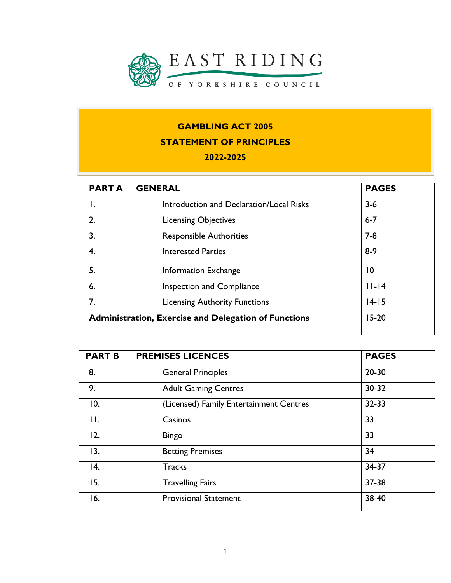

# **GAMBLING ACT 2005 STATEMENT OF PRINCIPLES**

### **2022-2025**

| <b>PARTA</b> | <b>GENERAL</b>                                              | <b>PAGES</b> |
|--------------|-------------------------------------------------------------|--------------|
| Ι.           | Introduction and Declaration/Local Risks                    | $3 - 6$      |
| 2.           | <b>Licensing Objectives</b>                                 | $6 - 7$      |
| 3.           | <b>Responsible Authorities</b>                              | $7 - 8$      |
| 4.           | <b>Interested Parties</b>                                   | $8-9$        |
| 5.           | <b>Information Exchange</b>                                 | 10           |
| 6.           | <b>Inspection and Compliance</b>                            | $ I - 4 $    |
| 7.           | <b>Licensing Authority Functions</b>                        | $14 - 15$    |
|              | <b>Administration, Exercise and Delegation of Functions</b> | $15-20$      |

| <b>PART B</b>  | <b>PREMISES LICENCES</b>                | <b>PAGES</b> |
|----------------|-----------------------------------------|--------------|
| 8.             | <b>General Principles</b>               | $20 - 30$    |
| 9.             | <b>Adult Gaming Centres</b>             | $30 - 32$    |
| 10.            | (Licensed) Family Entertainment Centres | $32 - 33$    |
| $\mathbf{H}$ . | Casinos                                 | 33           |
| 12.            | <b>Bingo</b>                            | 33           |
| 13.            | <b>Betting Premises</b>                 | 34           |
| 14.            | <b>Tracks</b>                           | 34-37        |
| 15.            | <b>Travelling Fairs</b>                 | 37-38        |
| 16.            | <b>Provisional Statement</b>            | 38-40        |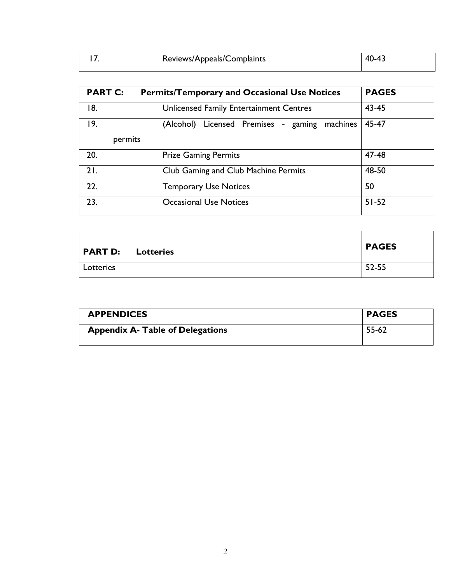| Reviews/Appeals/Complaints | 40-43 |
|----------------------------|-------|
|                            |       |

| <b>PART C:</b> | <b>Permits/Temporary and Occasional Use Notices</b> | <b>PAGES</b> |  |  |
|----------------|-----------------------------------------------------|--------------|--|--|
| 18.            | Unlicensed Family Entertainment Centres             |              |  |  |
| 19.            | Licensed Premises - gaming<br>(Alcohol)<br>machines | 45-47        |  |  |
| permits        |                                                     |              |  |  |
| 20.            | <b>Prize Gaming Permits</b>                         | 47-48        |  |  |
| 21.            | Club Gaming and Club Machine Permits                | 48-50        |  |  |
| 22.            | <b>Temporary Use Notices</b>                        | 50           |  |  |
| 23.            | <b>Occasional Use Notices</b>                       | $51 - 52$    |  |  |

| <b>PART D:</b> Lotteries | <b>PAGES</b> |
|--------------------------|--------------|
| Lotteries                | 52-55        |

| <b>APPENDICES</b>                       | <b>PAGES</b> |
|-----------------------------------------|--------------|
| <b>Appendix A- Table of Delegations</b> | 55-62        |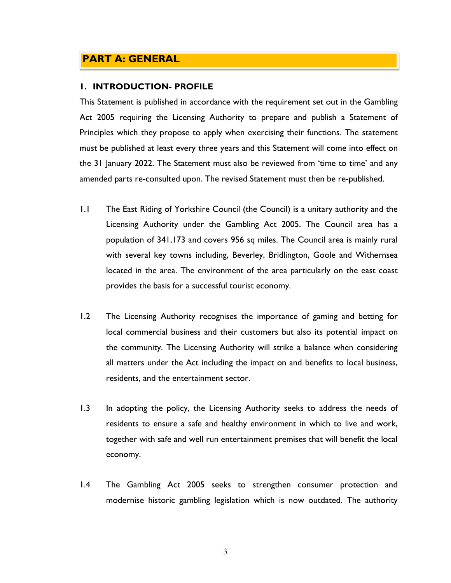## **PART A: GENERAL**

#### **1. INTRODUCTION- PROFILE**

This Statement is published in accordance with the requirement set out in the Gambling Act 2005 requiring the Licensing Authority to prepare and publish a Statement of Principles which they propose to apply when exercising their functions. The statement must be published at least every three years and this Statement will come into effect on the 31 January 2022. The Statement must also be reviewed from 'time to time' and any amended parts re-consulted upon. The revised Statement must then be re-published.

- 1.1 The East Riding of Yorkshire Council (the Council) is a unitary authority and the Licensing Authority under the Gambling Act 2005. The Council area has a population of 341,173 and covers 956 sq miles. The Council area is mainly rural with several key towns including, Beverley, Bridlington, Goole and Withernsea located in the area. The environment of the area particularly on the east coast provides the basis for a successful tourist economy.
- 1.2 The Licensing Authority recognises the importance of gaming and betting for local commercial business and their customers but also its potential impact on the community. The Licensing Authority will strike a balance when considering all matters under the Act including the impact on and benefits to local business, residents, and the entertainment sector.
- 1.3 In adopting the policy, the Licensing Authority seeks to address the needs of residents to ensure a safe and healthy environment in which to live and work, together with safe and well run entertainment premises that will benefit the local economy.
- 1.4 The Gambling Act 2005 seeks to strengthen consumer protection and modernise historic gambling legislation which is now outdated. The authority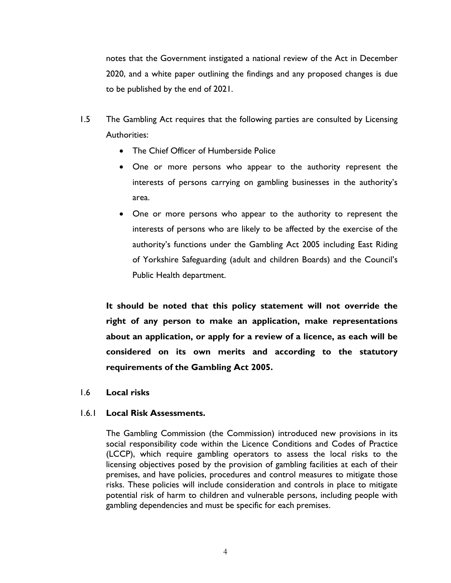notes that the Government instigated a national review of the Act in December 2020, and a white paper outlining the findings and any proposed changes is due to be published by the end of 2021.

- 1.5 The Gambling Act requires that the following parties are consulted by Licensing Authorities:
	- The Chief Officer of Humberside Police
	- One or more persons who appear to the authority represent the interests of persons carrying on gambling businesses in the authority's area.
	- One or more persons who appear to the authority to represent the interests of persons who are likely to be affected by the exercise of the authority's functions under the Gambling Act 2005 including East Riding of Yorkshire Safeguarding (adult and children Boards) and the Council's Public Health department.

**It should be noted that this policy statement will not override the right of any person to make an application, make representations about an application, or apply for a review of a licence, as each will be considered on its own merits and according to the statutory requirements of the Gambling Act 2005.**

1.6 **Local risks**

#### 1.6.1 **Local Risk Assessments.**

The Gambling Commission (the Commission) introduced new provisions in its social responsibility code within the Licence Conditions and Codes of Practice (LCCP), which require gambling operators to assess the local risks to the licensing objectives posed by the provision of gambling facilities at each of their premises, and have policies, procedures and control measures to mitigate those risks. These policies will include consideration and controls in place to mitigate potential risk of harm to children and vulnerable persons, including people with gambling dependencies and must be specific for each premises.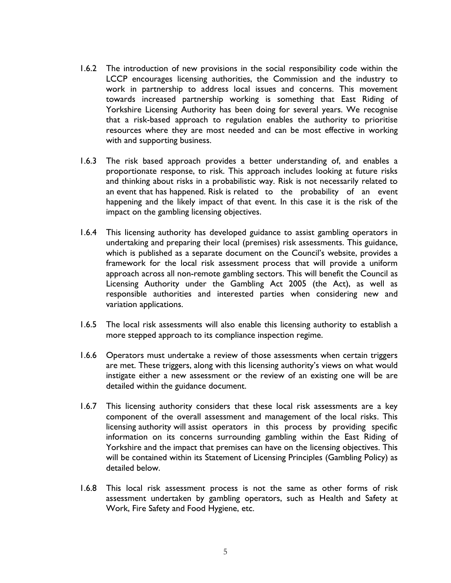- 1.6.2 The introduction of new provisions in the social responsibility code within the LCCP encourages licensing authorities, the Commission and the industry to work in partnership to address local issues and concerns. This movement towards increased partnership working is something that East Riding of Yorkshire Licensing Authority has been doing for several years. We recognise that a risk-based approach to regulation enables the authority to prioritise resources where they are most needed and can be most effective in working with and supporting business.
- 1.6.3 The risk based approach provides a better understanding of, and enables a proportionate response, to risk. This approach includes looking at future risks and thinking about risks in a probabilistic way. Risk is not necessarily related to an event that has happened. Risk is related to the probability of an event happening and the likely impact of that event. In this case it is the risk of the impact on the gambling licensing objectives.
- 1.6.4 This licensing authority has developed guidance to assist gambling operators in undertaking and preparing their local (premises) risk assessments. This guidance, which is published as a separate document on the Council's website, provides a framework for the local risk assessment process that will provide a uniform approach across all non-remote gambling sectors. This will benefit the Council as Licensing Authority under the Gambling Act 2005 (the Act), as well as responsible authorities and interested parties when considering new and variation applications.
- 1.6.5 The local risk assessments will also enable this licensing authority to establish a more stepped approach to its compliance inspection regime.
- 1.6.6 Operators must undertake a review of those assessments when certain triggers are met. These triggers, along with this licensing authority's views on what would instigate either a new assessment or the review of an existing one will be are detailed within the guidance document.
- 1.6.7 This licensing authority considers that these local risk assessments are a key component of the overall assessment and management of the local risks. This licensing authority will assist operators in this process by providing specific information on its concerns surrounding gambling within the East Riding of Yorkshire and the impact that premises can have on the licensing objectives. This will be contained within its Statement of Licensing Principles (Gambling Policy) as detailed below.
- 1.6.8 This local risk assessment process is not the same as other forms of risk assessment undertaken by gambling operators, such as Health and Safety at Work, Fire Safety and Food Hygiene, etc.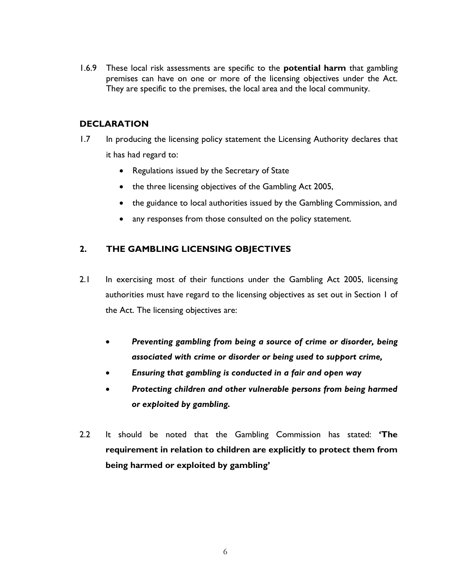1.6.9 These local risk assessments are specific to the **potential harm** that gambling premises can have on one or more of the licensing objectives under the Act. They are specific to the premises, the local area and the local community.

### **DECLARATION**

- 1.7 In producing the licensing policy statement the Licensing Authority declares that it has had regard to:
	- Regulations issued by the Secretary of State
	- the three licensing objectives of the Gambling Act 2005,
	- the guidance to local authorities issued by the Gambling Commission, and
	- any responses from those consulted on the policy statement.

## **2. THE GAMBLING LICENSING OBJECTIVES**

- 2.1 In exercising most of their functions under the Gambling Act 2005, licensing authorities must have regard to the licensing objectives as set out in Section 1 of the Act. The licensing objectives are:
	- *Preventing gambling from being a source of crime or disorder, being associated with crime or disorder or being used to support crime,*
	- *Ensuring that gambling is conducted in a fair and open way*
	- *Protecting children and other vulnerable persons from being harmed or exploited by gambling.*
- 2.2 It should be noted that the Gambling Commission has stated: **'The requirement in relation to children are explicitly to protect them from being harmed or exploited by gambling'**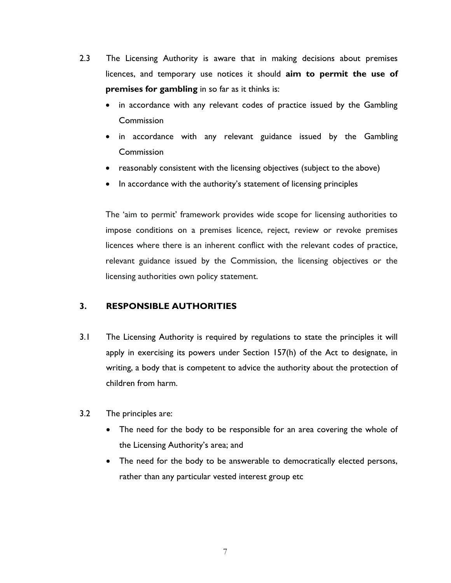- 2.3 The Licensing Authority is aware that in making decisions about premises licences, and temporary use notices it should **aim to permit the use of premises for gambling** in so far as it thinks is:
	- in accordance with any relevant codes of practice issued by the Gambling **Commission**
	- in accordance with any relevant guidance issued by the Gambling **Commission**
	- reasonably consistent with the licensing objectives (subject to the above)
	- In accordance with the authority's statement of licensing principles

The 'aim to permit' framework provides wide scope for licensing authorities to impose conditions on a premises licence, reject, review or revoke premises licences where there is an inherent conflict with the relevant codes of practice, relevant guidance issued by the Commission, the licensing objectives or the licensing authorities own policy statement.

## **3. RESPONSIBLE AUTHORITIES**

- 3.1 The Licensing Authority is required by regulations to state the principles it will apply in exercising its powers under Section 157(h) of the Act to designate, in writing, a body that is competent to advice the authority about the protection of children from harm.
- 3.2 The principles are:
	- The need for the body to be responsible for an area covering the whole of the Licensing Authority's area; and
	- The need for the body to be answerable to democratically elected persons, rather than any particular vested interest group etc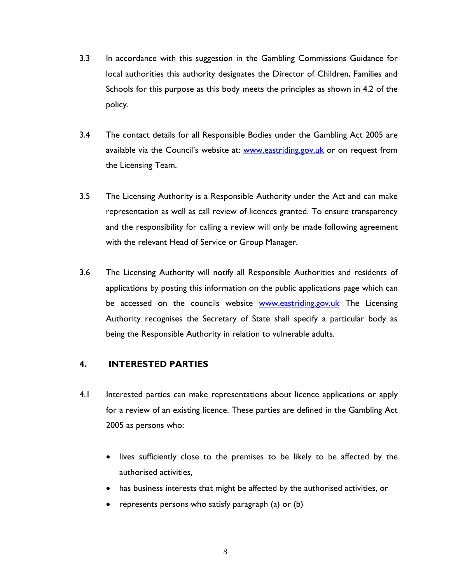- 3.3 In accordance with this suggestion in the Gambling Commissions Guidance for local authorities this authority designates the Director of Children, Families and Schools for this purpose as this body meets the principles as shown in 4.2 of the policy.
- 3.4 The contact details for all Responsible Bodies under the Gambling Act 2005 are available via the Council's website at: [www.eastriding.gov.uk](http://www.eastriding.gov.uk/) or on request from the Licensing Team.
- 3.5 The Licensing Authority is a Responsible Authority under the Act and can make representation as well as call review of licences granted. To ensure transparency and the responsibility for calling a review will only be made following agreement with the relevant Head of Service or Group Manager.
- 3.6 The Licensing Authority will notify all Responsible Authorities and residents of applications by posting this information on the public applications page which can be accessed on the councils website [www.eastriding.gov.uk](http://www.eastriding.gov.uk/) The Licensing Authority recognises the Secretary of State shall specify a particular body as being the Responsible Authority in relation to vulnerable adults.

#### **4. INTERESTED PARTIES**

- 4.1 Interested parties can make representations about licence applications or apply for a review of an existing licence. These parties are defined in the Gambling Act 2005 as persons who:
	- lives sufficiently close to the premises to be likely to be affected by the authorised activities,
	- has business interests that might be affected by the authorised activities, or
	- represents persons who satisfy paragraph (a) or (b)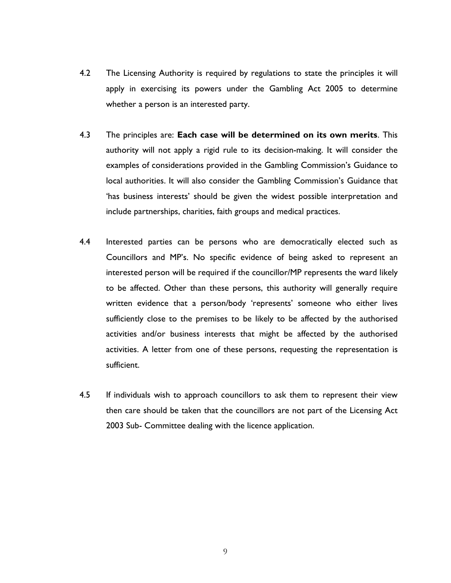- 4.2 The Licensing Authority is required by regulations to state the principles it will apply in exercising its powers under the Gambling Act 2005 to determine whether a person is an interested party.
- 4.3 The principles are: **Each case will be determined on its own merits**. This authority will not apply a rigid rule to its decision-making. It will consider the examples of considerations provided in the Gambling Commission's Guidance to local authorities. It will also consider the Gambling Commission's Guidance that 'has business interests' should be given the widest possible interpretation and include partnerships, charities, faith groups and medical practices.
- 4.4 Interested parties can be persons who are democratically elected such as Councillors and MP's. No specific evidence of being asked to represent an interested person will be required if the councillor/MP represents the ward likely to be affected. Other than these persons, this authority will generally require written evidence that a person/body 'represents' someone who either lives sufficiently close to the premises to be likely to be affected by the authorised activities and/or business interests that might be affected by the authorised activities. A letter from one of these persons, requesting the representation is sufficient.
- 4.5 If individuals wish to approach councillors to ask them to represent their view then care should be taken that the councillors are not part of the Licensing Act 2003 Sub- Committee dealing with the licence application.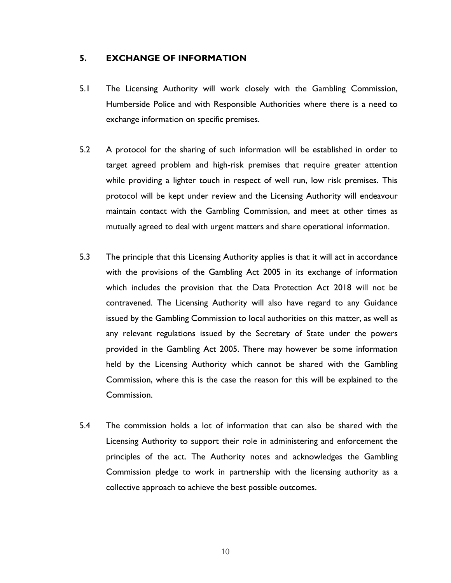#### **5. EXCHANGE OF INFORMATION**

- 5.1 The Licensing Authority will work closely with the Gambling Commission, Humberside Police and with Responsible Authorities where there is a need to exchange information on specific premises.
- 5.2 A protocol for the sharing of such information will be established in order to target agreed problem and high-risk premises that require greater attention while providing a lighter touch in respect of well run, low risk premises. This protocol will be kept under review and the Licensing Authority will endeavour maintain contact with the Gambling Commission, and meet at other times as mutually agreed to deal with urgent matters and share operational information.
- 5.3 The principle that this Licensing Authority applies is that it will act in accordance with the provisions of the Gambling Act 2005 in its exchange of information which includes the provision that the Data Protection Act 2018 will not be contravened. The Licensing Authority will also have regard to any Guidance issued by the Gambling Commission to local authorities on this matter, as well as any relevant regulations issued by the Secretary of State under the powers provided in the Gambling Act 2005. There may however be some information held by the Licensing Authority which cannot be shared with the Gambling Commission, where this is the case the reason for this will be explained to the Commission.
- 5.4 The commission holds a lot of information that can also be shared with the Licensing Authority to support their role in administering and enforcement the principles of the act. The Authority notes and acknowledges the Gambling Commission pledge to work in partnership with the licensing authority as a collective approach to achieve the best possible outcomes.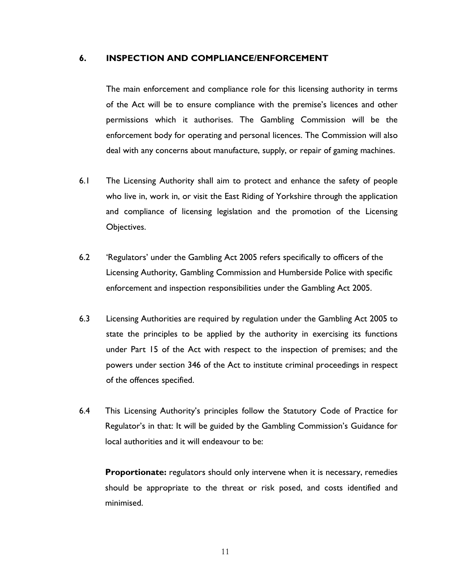#### **6. INSPECTION AND COMPLIANCE/ENFORCEMENT**

The main enforcement and compliance role for this licensing authority in terms of the Act will be to ensure compliance with the premise's licences and other permissions which it authorises. The Gambling Commission will be the enforcement body for operating and personal licences. The Commission will also deal with any concerns about manufacture, supply, or repair of gaming machines.

- 6.1 The Licensing Authority shall aim to protect and enhance the safety of people who live in, work in, or visit the East Riding of Yorkshire through the application and compliance of licensing legislation and the promotion of the Licensing Objectives.
- 6.2 'Regulators' under the Gambling Act 2005 refers specifically to officers of the Licensing Authority, Gambling Commission and Humberside Police with specific enforcement and inspection responsibilities under the Gambling Act 2005.
- 6.3 Licensing Authorities are required by regulation under the Gambling Act 2005 to state the principles to be applied by the authority in exercising its functions under Part 15 of the Act with respect to the inspection of premises; and the powers under section 346 of the Act to institute criminal proceedings in respect of the offences specified.
- 6.4 This Licensing Authority's principles follow the Statutory Code of Practice for Regulator's in that: It will be guided by the Gambling Commission's Guidance for local authorities and it will endeavour to be:

**Proportionate:** regulators should only intervene when it is necessary, remedies should be appropriate to the threat or risk posed, and costs identified and minimised.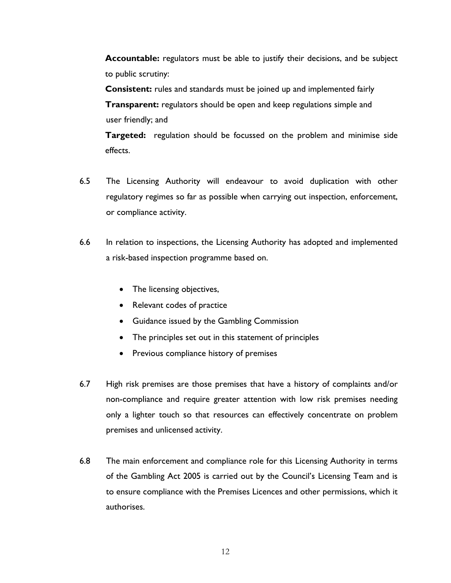**Accountable:** regulators must be able to justify their decisions, and be subject to public scrutiny:

**Consistent:** rules and standards must be joined up and implemented fairly **Transparent:** regulators should be open and keep regulations simple and user friendly; and

**Targeted:** regulation should be focussed on the problem and minimise side effects.

- 6.5 The Licensing Authority will endeavour to avoid duplication with other regulatory regimes so far as possible when carrying out inspection, enforcement, or compliance activity.
- 6.6 In relation to inspections, the Licensing Authority has adopted and implemented a risk-based inspection programme based on.
	- The licensing objectives,
	- Relevant codes of practice
	- Guidance issued by the Gambling Commission
	- The principles set out in this statement of principles
	- Previous compliance history of premises
- 6.7 High risk premises are those premises that have a history of complaints and/or non-compliance and require greater attention with low risk premises needing only a lighter touch so that resources can effectively concentrate on problem premises and unlicensed activity.
- 6.8 The main enforcement and compliance role for this Licensing Authority in terms of the Gambling Act 2005 is carried out by the Council's Licensing Team and is to ensure compliance with the Premises Licences and other permissions, which it authorises.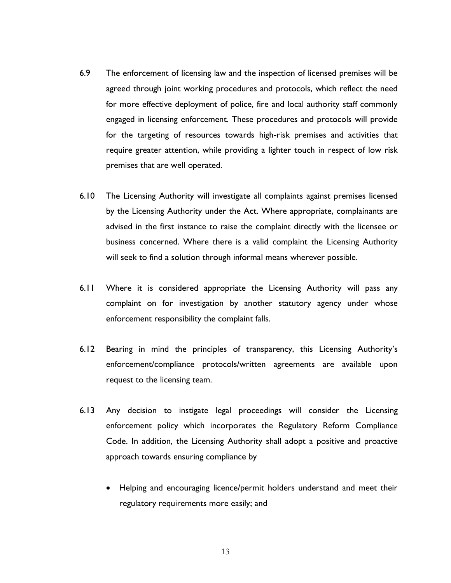- 6.9 The enforcement of licensing law and the inspection of licensed premises will be agreed through joint working procedures and protocols, which reflect the need for more effective deployment of police, fire and local authority staff commonly engaged in licensing enforcement. These procedures and protocols will provide for the targeting of resources towards high-risk premises and activities that require greater attention, while providing a lighter touch in respect of low risk premises that are well operated.
- 6.10 The Licensing Authority will investigate all complaints against premises licensed by the Licensing Authority under the Act. Where appropriate, complainants are advised in the first instance to raise the complaint directly with the licensee or business concerned. Where there is a valid complaint the Licensing Authority will seek to find a solution through informal means wherever possible.
- 6.11 Where it is considered appropriate the Licensing Authority will pass any complaint on for investigation by another statutory agency under whose enforcement responsibility the complaint falls.
- 6.12 Bearing in mind the principles of transparency, this Licensing Authority's enforcement/compliance protocols/written agreements are available upon request to the licensing team.
- 6.13 Any decision to instigate legal proceedings will consider the Licensing enforcement policy which incorporates the Regulatory Reform Compliance Code. In addition, the Licensing Authority shall adopt a positive and proactive approach towards ensuring compliance by
	- Helping and encouraging licence/permit holders understand and meet their regulatory requirements more easily; and

13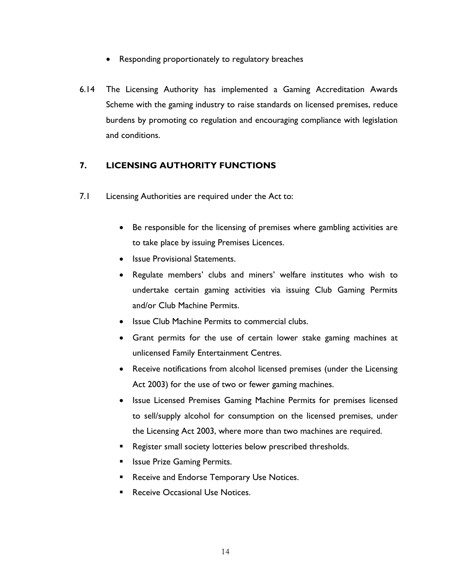- Responding proportionately to regulatory breaches
- 6.14 The Licensing Authority has implemented a Gaming Accreditation Awards Scheme with the gaming industry to raise standards on licensed premises, reduce burdens by promoting co regulation and encouraging compliance with legislation and conditions.

## **7. LICENSING AUTHORITY FUNCTIONS**

- 7.1 Licensing Authorities are required under the Act to:
	- Be responsible for the licensing of premises where gambling activities are to take place by issuing Premises Licences.
	- Issue Provisional Statements.
	- Regulate members' clubs and miners' welfare institutes who wish to undertake certain gaming activities via issuing Club Gaming Permits and/or Club Machine Permits.
	- Issue Club Machine Permits to commercial clubs.
	- Grant permits for the use of certain lower stake gaming machines at unlicensed Family Entertainment Centres.
	- Receive notifications from alcohol licensed premises (under the Licensing Act 2003) for the use of two or fewer gaming machines.
	- Issue Licensed Premises Gaming Machine Permits for premises licensed to sell/supply alcohol for consumption on the licensed premises, under the Licensing Act 2003, where more than two machines are required.
	- Register small society lotteries below prescribed thresholds.
	- **Issue Prize Gaming Permits.**
	- Receive and Endorse Temporary Use Notices.
	- Receive Occasional Use Notices.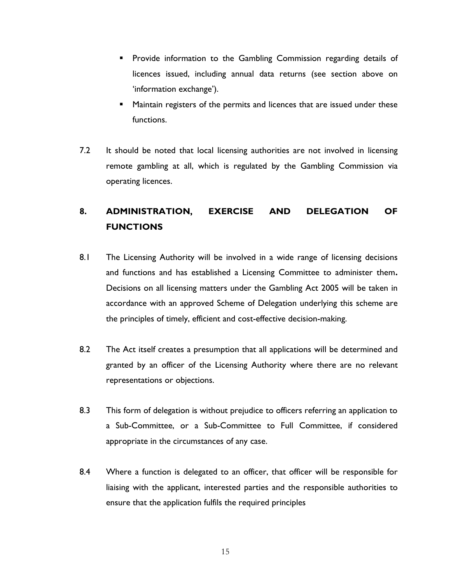- **•** Provide information to the Gambling Commission regarding details of licences issued, including annual data returns (see section above on 'information exchange').
- Maintain registers of the permits and licences that are issued under these functions.
- 7.2 It should be noted that local licensing authorities are not involved in licensing remote gambling at all, which is regulated by the Gambling Commission via operating licences.

## **8. ADMINISTRATION, EXERCISE AND DELEGATION OF FUNCTIONS**

- 8.1 The Licensing Authority will be involved in a wide range of licensing decisions and functions and has established a Licensing Committee to administer them**.** Decisions on all licensing matters under the Gambling Act 2005 will be taken in accordance with an approved Scheme of Delegation underlying this scheme are the principles of timely, efficient and cost-effective decision-making.
- 8.2 The Act itself creates a presumption that all applications will be determined and granted by an officer of the Licensing Authority where there are no relevant representations or objections.
- 8.3 This form of delegation is without prejudice to officers referring an application to a Sub-Committee, or a Sub-Committee to Full Committee, if considered appropriate in the circumstances of any case.
- 8.4 Where a function is delegated to an officer, that officer will be responsible for liaising with the applicant, interested parties and the responsible authorities to ensure that the application fulfils the required principles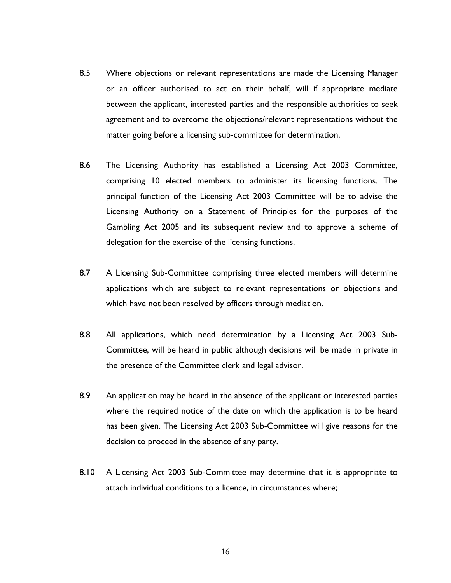- 8.5 Where objections or relevant representations are made the Licensing Manager or an officer authorised to act on their behalf, will if appropriate mediate between the applicant, interested parties and the responsible authorities to seek agreement and to overcome the objections/relevant representations without the matter going before a licensing sub-committee for determination.
- 8.6 The Licensing Authority has established a Licensing Act 2003 Committee, comprising 10 elected members to administer its licensing functions. The principal function of the Licensing Act 2003 Committee will be to advise the Licensing Authority on a Statement of Principles for the purposes of the Gambling Act 2005 and its subsequent review and to approve a scheme of delegation for the exercise of the licensing functions.
- 8.7 A Licensing Sub-Committee comprising three elected members will determine applications which are subject to relevant representations or objections and which have not been resolved by officers through mediation.
- 8.8 All applications, which need determination by a Licensing Act 2003 Sub-Committee, will be heard in public although decisions will be made in private in the presence of the Committee clerk and legal advisor.
- 8.9 An application may be heard in the absence of the applicant or interested parties where the required notice of the date on which the application is to be heard has been given. The Licensing Act 2003 Sub-Committee will give reasons for the decision to proceed in the absence of any party.
- 8.10 A Licensing Act 2003 Sub-Committee may determine that it is appropriate to attach individual conditions to a licence, in circumstances where;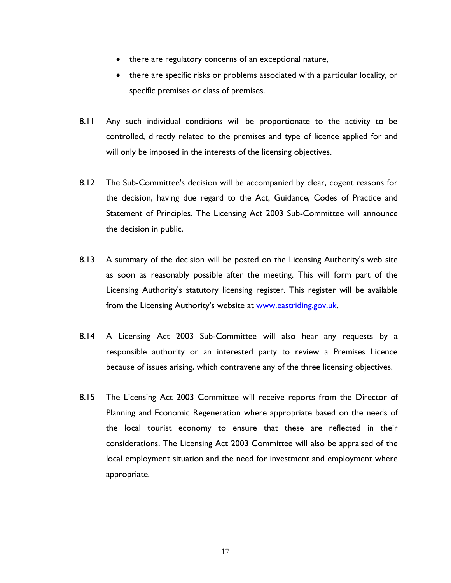- there are regulatory concerns of an exceptional nature,
- there are specific risks or problems associated with a particular locality, or specific premises or class of premises.
- 8.11 Any such individual conditions will be proportionate to the activity to be controlled, directly related to the premises and type of licence applied for and will only be imposed in the interests of the licensing objectives.
- 8.12 The Sub-Committee's decision will be accompanied by clear, cogent reasons for the decision, having due regard to the Act, Guidance, Codes of Practice and Statement of Principles. The Licensing Act 2003 Sub-Committee will announce the decision in public.
- 8.13 A summary of the decision will be posted on the Licensing Authority's web site as soon as reasonably possible after the meeting. This will form part of the Licensing Authority's statutory licensing register. This register will be available from the Licensing Authority's website at [www.eastriding.gov.uk.](http://www.eastriding.gov.uk/)
- 8.14 A Licensing Act 2003 Sub-Committee will also hear any requests by a responsible authority or an interested party to review a Premises Licence because of issues arising, which contravene any of the three licensing objectives.
- 8.15 The Licensing Act 2003 Committee will receive reports from the Director of Planning and Economic Regeneration where appropriate based on the needs of the local tourist economy to ensure that these are reflected in their considerations. The Licensing Act 2003 Committee will also be appraised of the local employment situation and the need for investment and employment where appropriate.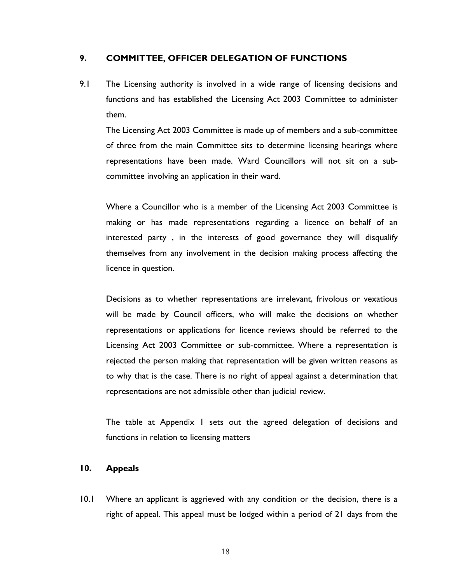### **9. COMMITTEE, OFFICER DELEGATION OF FUNCTIONS**

9.1 The Licensing authority is involved in a wide range of licensing decisions and functions and has established the Licensing Act 2003 Committee to administer them.

The Licensing Act 2003 Committee is made up of members and a sub-committee of three from the main Committee sits to determine licensing hearings where representations have been made. Ward Councillors will not sit on a subcommittee involving an application in their ward.

Where a Councillor who is a member of the Licensing Act 2003 Committee is making or has made representations regarding a licence on behalf of an interested party , in the interests of good governance they will disqualify themselves from any involvement in the decision making process affecting the licence in question.

Decisions as to whether representations are irrelevant, frivolous or vexatious will be made by Council officers, who will make the decisions on whether representations or applications for licence reviews should be referred to the Licensing Act 2003 Committee or sub-committee. Where a representation is rejected the person making that representation will be given written reasons as to why that is the case. There is no right of appeal against a determination that representations are not admissible other than judicial review.

The table at Appendix 1 sets out the agreed delegation of decisions and functions in relation to licensing matters

#### **10. Appeals**

10.1 Where an applicant is aggrieved with any condition or the decision, there is a right of appeal. This appeal must be lodged within a period of 21 days from the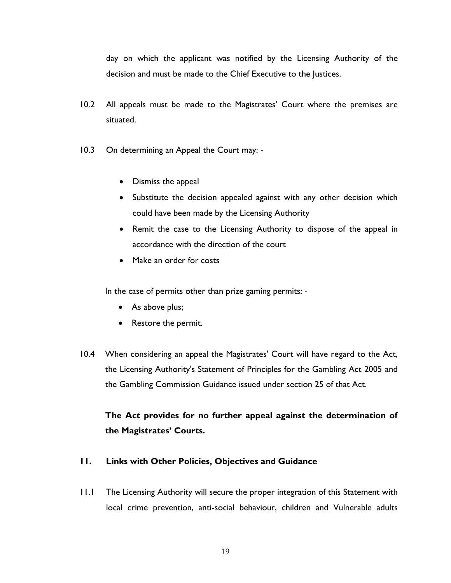day on which the applicant was notified by the Licensing Authority of the decision and must be made to the Chief Executive to the Justices.

- 10.2 All appeals must be made to the Magistrates' Court where the premises are situated.
- 10.3 On determining an Appeal the Court may:
	- Dismiss the appeal
	- Substitute the decision appealed against with any other decision which could have been made by the Licensing Authority
	- Remit the case to the Licensing Authority to dispose of the appeal in accordance with the direction of the court
	- Make an order for costs

In the case of permits other than prize gaming permits: -

- As above plus;
- Restore the permit.
- 10.4 When considering an appeal the Magistrates' Court will have regard to the Act, the Licensing Authority's Statement of Principles for the Gambling Act 2005 and the Gambling Commission Guidance issued under section 25 of that Act.

## **The Act provides for no further appeal against the determination of the Magistrates' Courts.**

### **11. Links with Other Policies, Objectives and Guidance**

11.1 The Licensing Authority will secure the proper integration of this Statement with local crime prevention, anti-social behaviour, children and Vulnerable adults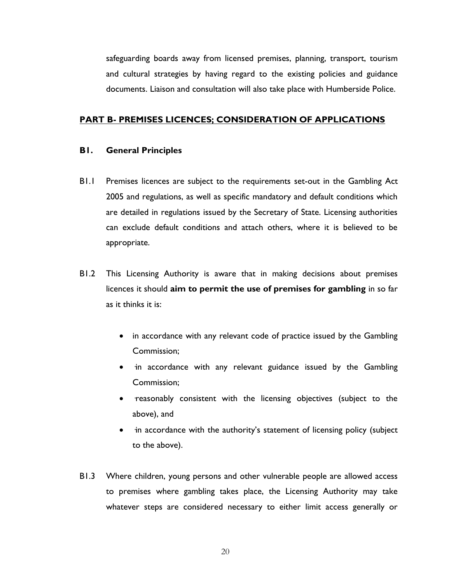safeguarding boards away from licensed premises, planning, transport, tourism and cultural strategies by having regard to the existing policies and guidance documents. Liaison and consultation will also take place with Humberside Police.

#### **PART B- PREMISES LICENCES; CONSIDERATION OF APPLICATIONS**

#### **B1. General Principles**

- B1.1 Premises licences are subject to the requirements set-out in the Gambling Act 2005 and regulations, as well as specific mandatory and default conditions which are detailed in regulations issued by the Secretary of State. Licensing authorities can exclude default conditions and attach others, where it is believed to be appropriate.
- B1.2 This Licensing Authority is aware that in making decisions about premises licences it should **aim to permit the use of premises for gambling** in so far as it thinks it is:
	- in accordance with any relevant code of practice issued by the Gambling Commission;
	- in accordance with any relevant guidance issued by the Gambling Commission;
	- reasonably consistent with the licensing objectives (subject to the above), and
	- in accordance with the authority's statement of licensing policy (subject to the above).
- B1.3 Where children, young persons and other vulnerable people are allowed access to premises where gambling takes place, the Licensing Authority may take whatever steps are considered necessary to either limit access generally or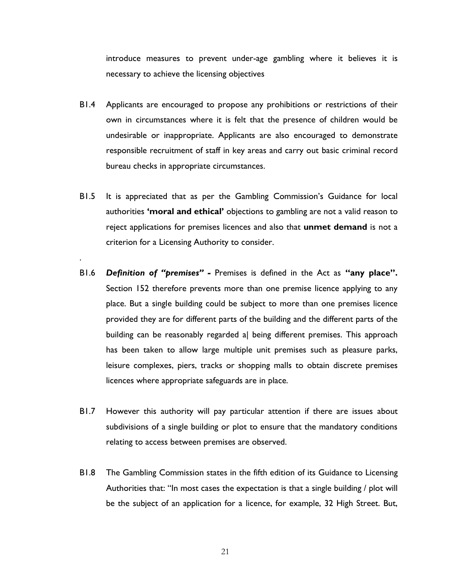introduce measures to prevent under-age gambling where it believes it is necessary to achieve the licensing objectives

- B1.4 Applicants are encouraged to propose any prohibitions or restrictions of their own in circumstances where it is felt that the presence of children would be undesirable or inappropriate. Applicants are also encouraged to demonstrate responsible recruitment of staff in key areas and carry out basic criminal record bureau checks in appropriate circumstances.
- B1.5 It is appreciated that as per the Gambling Commission's Guidance for local authorities **'moral and ethical'** objections to gambling are not a valid reason to reject applications for premises licences and also that **unmet demand** is not a criterion for a Licensing Authority to consider.

.

- B1.6 *Definition of "premises" -* Premises is defined in the Act as **"any place".** Section 152 therefore prevents more than one premise licence applying to any place. But a single building could be subject to more than one premises licence provided they are for different parts of the building and the different parts of the building can be reasonably regarded a| being different premises. This approach has been taken to allow large multiple unit premises such as pleasure parks, leisure complexes, piers, tracks or shopping malls to obtain discrete premises licences where appropriate safeguards are in place.
- B1.7 However this authority will pay particular attention if there are issues about subdivisions of a single building or plot to ensure that the mandatory conditions relating to access between premises are observed.
- B1.8 The Gambling Commission states in the fifth edition of its Guidance to Licensing Authorities that: "In most cases the expectation is that a single building / plot will be the subject of an application for a licence, for example, 32 High Street. But,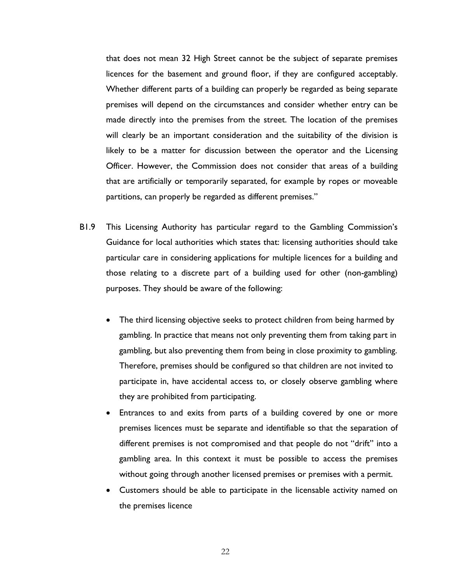that does not mean 32 High Street cannot be the subject of separate premises licences for the basement and ground floor, if they are configured acceptably. Whether different parts of a building can properly be regarded as being separate premises will depend on the circumstances and consider whether entry can be made directly into the premises from the street. The location of the premises will clearly be an important consideration and the suitability of the division is likely to be a matter for discussion between the operator and the Licensing Officer. However, the Commission does not consider that areas of a building that are artificially or temporarily separated, for example by ropes or moveable partitions, can properly be regarded as different premises."

- B1.9 This Licensing Authority has particular regard to the Gambling Commission's Guidance for local authorities which states that: licensing authorities should take particular care in considering applications for multiple licences for a building and those relating to a discrete part of a building used for other (non-gambling) purposes. They should be aware of the following:
	- The third licensing objective seeks to protect children from being harmed by gambling. In practice that means not only preventing them from taking part in gambling, but also preventing them from being in close proximity to gambling. Therefore, premises should be configured so that children are not invited to participate in, have accidental access to, or closely observe gambling where they are prohibited from participating.
	- Entrances to and exits from parts of a building covered by one or more premises licences must be separate and identifiable so that the separation of different premises is not compromised and that people do not "drift" into a gambling area. In this context it must be possible to access the premises without going through another licensed premises or premises with a permit.
	- Customers should be able to participate in the licensable activity named on the premises licence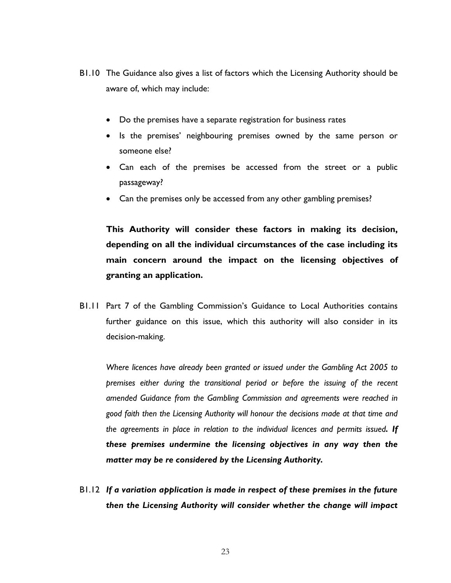- B1.10 The Guidance also gives a list of factors which the Licensing Authority should be aware of, which may include:
	- Do the premises have a separate registration for business rates
	- Is the premises' neighbouring premises owned by the same person or someone else?
	- Can each of the premises be accessed from the street or a public passageway?
	- Can the premises only be accessed from any other gambling premises?

**This Authority will consider these factors in making its decision, depending on all the individual circumstances of the case including its main concern around the impact on the licensing objectives of granting an application.**

B1.11 Part 7 of the Gambling Commission's Guidance to Local Authorities contains further guidance on this issue, which this authority will also consider in its decision-making.

*Where licences have already been granted or issued under the Gambling Act 2005 to premises either during the transitional period or before the issuing of the recent amended Guidance from the Gambling Commission and agreements were reached in good faith then the Licensing Authority will honour the decisions made at that time and the agreements in place in relation to the individual licences and permits issued. If these premises undermine the licensing objectives in any way then the matter may be re considered by the Licensing Authority.*

B1.12 *If a variation application is made in respect of these premises in the future then the Licensing Authority will consider whether the change will impact*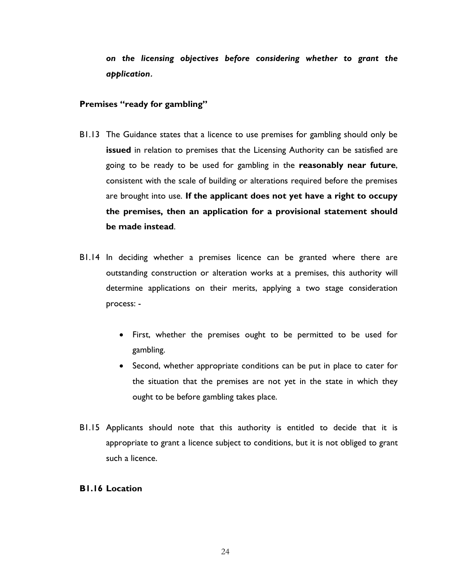*on the licensing objectives before considering whether to grant the application***.**

#### **Premises "ready for gambling"**

- B1.13 The Guidance states that a licence to use premises for gambling should only be **issued** in relation to premises that the Licensing Authority can be satisfied are going to be ready to be used for gambling in the **reasonably near future**, consistent with the scale of building or alterations required before the premises are brought into use. **If the applicant does not yet have a right to occupy the premises, then an application for a provisional statement should be made instead**.
- B1.14 In deciding whether a premises licence can be granted where there are outstanding construction or alteration works at a premises, this authority will determine applications on their merits, applying a two stage consideration process: -
	- First, whether the premises ought to be permitted to be used for gambling.
	- Second, whether appropriate conditions can be put in place to cater for the situation that the premises are not yet in the state in which they ought to be before gambling takes place.
- B1.15 Applicants should note that this authority is entitled to decide that it is appropriate to grant a licence subject to conditions, but it is not obliged to grant such a licence.

#### **B1.16 Location**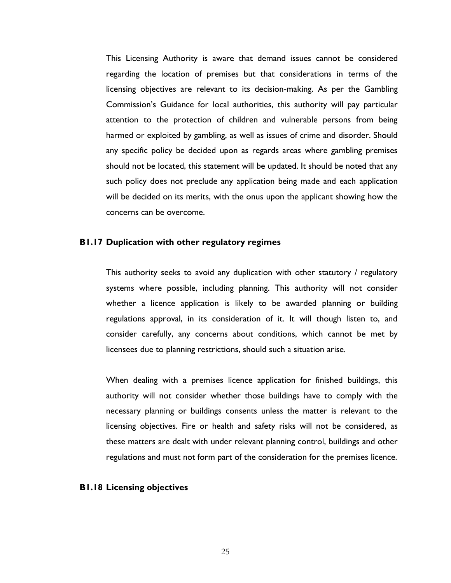This Licensing Authority is aware that demand issues cannot be considered regarding the location of premises but that considerations in terms of the licensing objectives are relevant to its decision-making. As per the Gambling Commission's Guidance for local authorities, this authority will pay particular attention to the protection of children and vulnerable persons from being harmed or exploited by gambling, as well as issues of crime and disorder. Should any specific policy be decided upon as regards areas where gambling premises should not be located, this statement will be updated. It should be noted that any such policy does not preclude any application being made and each application will be decided on its merits, with the onus upon the applicant showing how the concerns can be overcome.

#### **B1.17 Duplication with other regulatory regimes**

This authority seeks to avoid any duplication with other statutory / regulatory systems where possible, including planning. This authority will not consider whether a licence application is likely to be awarded planning or building regulations approval, in its consideration of it. It will though listen to, and consider carefully, any concerns about conditions, which cannot be met by licensees due to planning restrictions, should such a situation arise.

When dealing with a premises licence application for finished buildings, this authority will not consider whether those buildings have to comply with the necessary planning or buildings consents unless the matter is relevant to the licensing objectives. Fire or health and safety risks will not be considered, as these matters are dealt with under relevant planning control, buildings and other regulations and must not form part of the consideration for the premises licence.

#### **B1.18 Licensing objectives**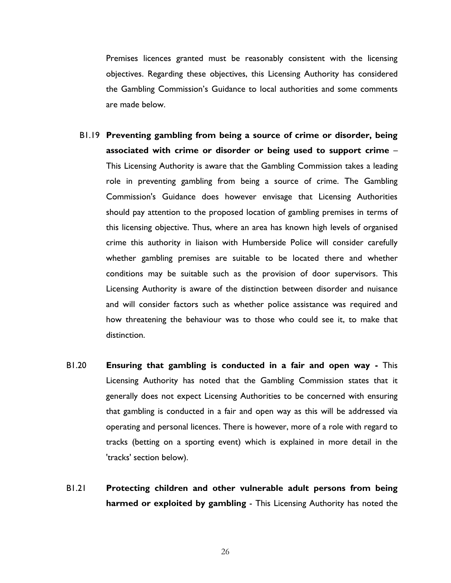Premises licences granted must be reasonably consistent with the licensing objectives. Regarding these objectives, this Licensing Authority has considered the Gambling Commission's Guidance to local authorities and some comments are made below.

- B1.19 **Preventing gambling from being a source of crime or disorder, being associated with crime or disorder or being used to support crime** – This Licensing Authority is aware that the Gambling Commission takes a leading role in preventing gambling from being a source of crime. The Gambling Commission's Guidance does however envisage that Licensing Authorities should pay attention to the proposed location of gambling premises in terms of this licensing objective. Thus, where an area has known high levels of organised crime this authority in liaison with Humberside Police will consider carefully whether gambling premises are suitable to be located there and whether conditions may be suitable such as the provision of door supervisors. This Licensing Authority is aware of the distinction between disorder and nuisance and will consider factors such as whether police assistance was required and how threatening the behaviour was to those who could see it, to make that distinction.
- B1.20 **Ensuring that gambling is conducted in a fair and open way -** This Licensing Authority has noted that the Gambling Commission states that it generally does not expect Licensing Authorities to be concerned with ensuring that gambling is conducted in a fair and open way as this will be addressed via operating and personal licences. There is however, more of a role with regard to tracks (betting on a sporting event) which is explained in more detail in the 'tracks' section below).
- B1.21 **Protecting children and other vulnerable adult persons from being harmed or exploited by gambling** - This Licensing Authority has noted the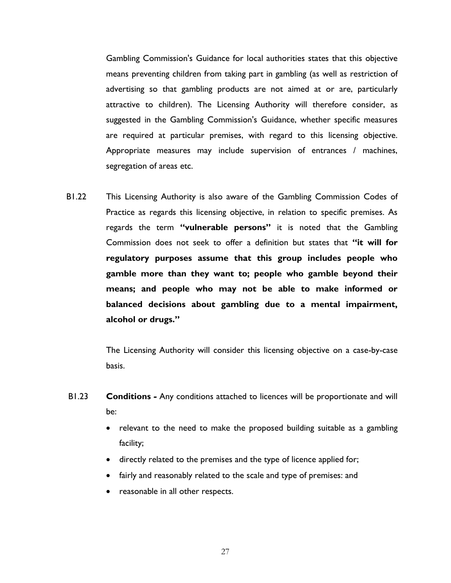Gambling Commission's Guidance for local authorities states that this objective means preventing children from taking part in gambling (as well as restriction of advertising so that gambling products are not aimed at or are, particularly attractive to children). The Licensing Authority will therefore consider, as suggested in the Gambling Commission's Guidance, whether specific measures are required at particular premises, with regard to this licensing objective. Appropriate measures may include supervision of entrances / machines, segregation of areas etc.

B1.22 This Licensing Authority is also aware of the Gambling Commission Codes of Practice as regards this licensing objective, in relation to specific premises. As regards the term **"vulnerable persons"** it is noted that the Gambling Commission does not seek to offer a definition but states that **"it will for regulatory purposes assume that this group includes people who gamble more than they want to; people who gamble beyond their means; and people who may not be able to make informed or balanced decisions about gambling due to a mental impairment, alcohol or drugs."**

> The Licensing Authority will consider this licensing objective on a case-by-case basis.

- B1.23 **Conditions** *-* Any conditions attached to licences will be proportionate and will be:
	- relevant to the need to make the proposed building suitable as a gambling facility;
	- directly related to the premises and the type of licence applied for;
	- fairly and reasonably related to the scale and type of premises: and
	- reasonable in all other respects.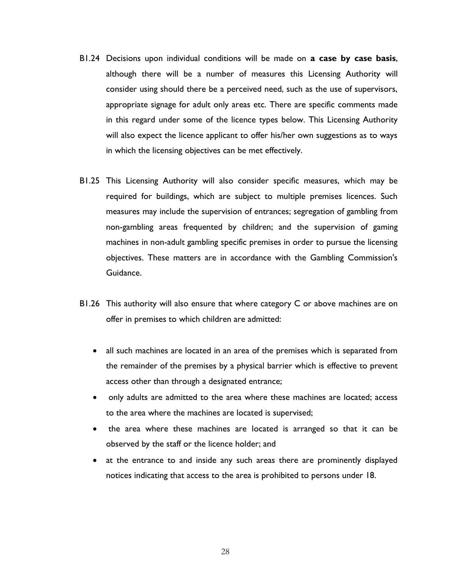- B1.24 Decisions upon individual conditions will be made on **a case by case basis**, although there will be a number of measures this Licensing Authority will consider using should there be a perceived need, such as the use of supervisors, appropriate signage for adult only areas etc. There are specific comments made in this regard under some of the licence types below. This Licensing Authority will also expect the licence applicant to offer his/her own suggestions as to ways in which the licensing objectives can be met effectively.
- B1.25 This Licensing Authority will also consider specific measures, which may be required for buildings, which are subject to multiple premises licences. Such measures may include the supervision of entrances; segregation of gambling from non-gambling areas frequented by children; and the supervision of gaming machines in non-adult gambling specific premises in order to pursue the licensing objectives. These matters are in accordance with the Gambling Commission's Guidance.
- B1.26 This authority will also ensure that where category C or above machines are on offer in premises to which children are admitted:
	- all such machines are located in an area of the premises which is separated from the remainder of the premises by a physical barrier which is effective to prevent access other than through a designated entrance;
	- only adults are admitted to the area where these machines are located; access to the area where the machines are located is supervised;
	- the area where these machines are located is arranged so that it can be observed by the staff or the licence holder; and
	- at the entrance to and inside any such areas there are prominently displayed notices indicating that access to the area is prohibited to persons under 18.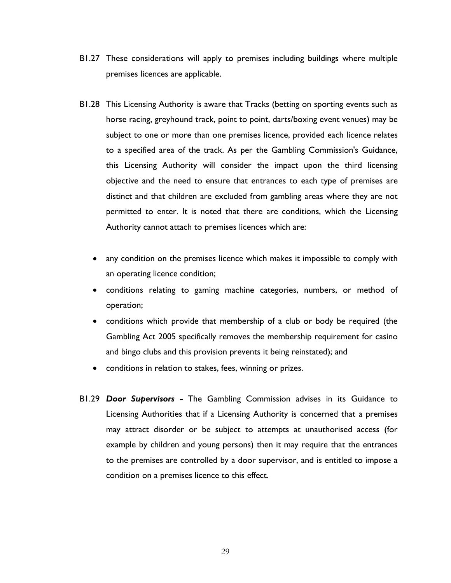- B1.27 These considerations will apply to premises including buildings where multiple premises licences are applicable.
- B1.28 This Licensing Authority is aware that Tracks (betting on sporting events such as horse racing, greyhound track, point to point, darts/boxing event venues) may be subject to one or more than one premises licence, provided each licence relates to a specified area of the track. As per the Gambling Commission's Guidance, this Licensing Authority will consider the impact upon the third licensing objective and the need to ensure that entrances to each type of premises are distinct and that children are excluded from gambling areas where they are not permitted to enter. It is noted that there are conditions, which the Licensing Authority cannot attach to premises licences which are:
	- any condition on the premises licence which makes it impossible to comply with an operating licence condition;
	- conditions relating to gaming machine categories, numbers, or method of operation;
	- conditions which provide that membership of a club or body be required (the Gambling Act 2005 specifically removes the membership requirement for casino and bingo clubs and this provision prevents it being reinstated); and
	- conditions in relation to stakes, fees, winning or prizes.
- B1.29 *Door Supervisors -* The Gambling Commission advises in its Guidance to Licensing Authorities that if a Licensing Authority is concerned that a premises may attract disorder or be subject to attempts at unauthorised access (for example by children and young persons) then it may require that the entrances to the premises are controlled by a door supervisor, and is entitled to impose a condition on a premises licence to this effect.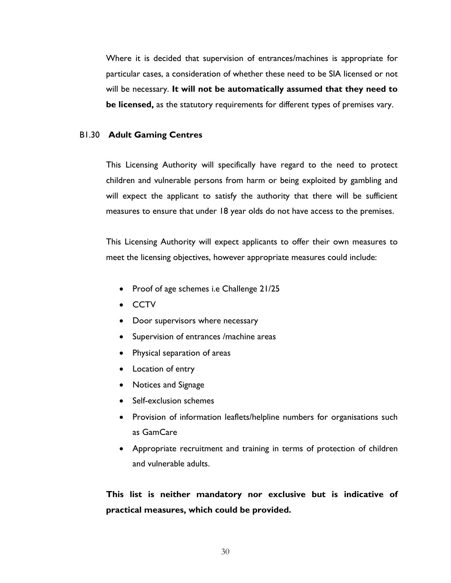Where it is decided that supervision of entrances/machines is appropriate for particular cases, a consideration of whether these need to be SIA licensed or not will be necessary. **It will not be automatically assumed that they need to be licensed,** as the statutory requirements for different types of premises vary.

#### B1.30 **Adult Gaming Centres**

This Licensing Authority will specifically have regard to the need to protect children and vulnerable persons from harm or being exploited by gambling and will expect the applicant to satisfy the authority that there will be sufficient measures to ensure that under 18 year olds do not have access to the premises.

This Licensing Authority will expect applicants to offer their own measures to meet the licensing objectives, however appropriate measures could include:

- Proof of age schemes i.e Challenge 21/25
- CCTV
- Door supervisors where necessary
- Supervision of entrances /machine areas
- Physical separation of areas
- Location of entry
- Notices and Signage
- Self-exclusion schemes
- Provision of information leaflets/helpline numbers for organisations such as GamCare
- Appropriate recruitment and training in terms of protection of children and vulnerable adults.

**This list is neither mandatory nor exclusive but is indicative of practical measures, which could be provided.**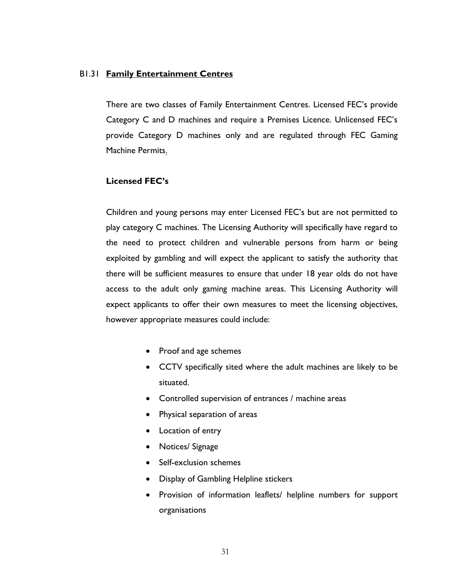#### B1.31 **Family Entertainment Centres**

There are two classes of Family Entertainment Centres. Licensed FEC's provide Category C and D machines and require a Premises Licence. Unlicensed FEC's provide Category D machines only and are regulated through FEC Gaming Machine Permits.

#### **Licensed FEC's**

Children and young persons may enter Licensed FEC's but are not permitted to play category C machines. The Licensing Authority will specifically have regard to the need to protect children and vulnerable persons from harm or being exploited by gambling and will expect the applicant to satisfy the authority that there will be sufficient measures to ensure that under 18 year olds do not have access to the adult only gaming machine areas. This Licensing Authority will expect applicants to offer their own measures to meet the licensing objectives, however appropriate measures could include:

- Proof and age schemes
- CCTV specifically sited where the adult machines are likely to be situated.
- Controlled supervision of entrances / machine areas
- Physical separation of areas
- Location of entry
- Notices/ Signage
- Self-exclusion schemes
- Display of Gambling Helpline stickers
- Provision of information leaflets/ helpline numbers for support organisations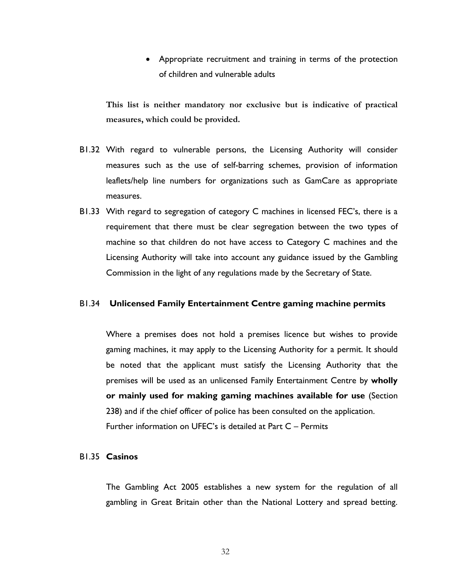• Appropriate recruitment and training in terms of the protection of children and vulnerable adults

**This list is neither mandatory nor exclusive but is indicative of practical measures, which could be provided.**

- B1.32 With regard to vulnerable persons, the Licensing Authority will consider measures such as the use of self-barring schemes, provision of information leaflets/help line numbers for organizations such as GamCare as appropriate measures.
- B1.33 With regard to segregation of category C machines in licensed FEC's, there is a requirement that there must be clear segregation between the two types of machine so that children do not have access to Category C machines and the Licensing Authority will take into account any guidance issued by the Gambling Commission in the light of any regulations made by the Secretary of State.

#### B1.34 **Unlicensed Family Entertainment Centre gaming machine permits**

Where a premises does not hold a premises licence but wishes to provide gaming machines, it may apply to the Licensing Authority for a permit. It should be noted that the applicant must satisfy the Licensing Authority that the premises will be used as an unlicensed Family Entertainment Centre by **wholly or mainly used for making gaming machines available for use** (Section 238) and if the chief officer of police has been consulted on the application. Further information on UFEC's is detailed at Part C – Permits

#### B1.35 **Casinos**

The Gambling Act 2005 establishes a new system for the regulation of all gambling in Great Britain other than the National Lottery and spread betting.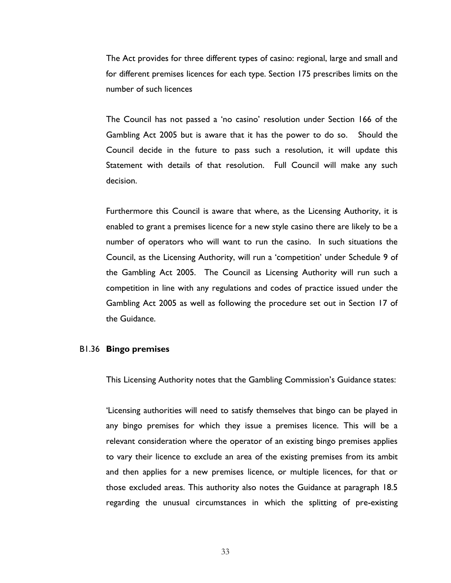The Act provides for three different types of casino: regional, large and small and for different premises licences for each type. Section 175 prescribes limits on the number of such licences

The Council has not passed a 'no casino' resolution under Section 166 of the Gambling Act 2005 but is aware that it has the power to do so. Should the Council decide in the future to pass such a resolution, it will update this Statement with details of that resolution. Full Council will make any such decision.

Furthermore this Council is aware that where, as the Licensing Authority, it is enabled to grant a premises licence for a new style casino there are likely to be a number of operators who will want to run the casino. In such situations the Council, as the Licensing Authority, will run a 'competition' under Schedule 9 of the Gambling Act 2005. The Council as Licensing Authority will run such a competition in line with any regulations and codes of practice issued under the Gambling Act 2005 as well as following the procedure set out in Section 17 of the Guidance.

#### B1.36 **Bingo premises**

This Licensing Authority notes that the Gambling Commission's Guidance states:

'Licensing authorities will need to satisfy themselves that bingo can be played in any bingo premises for which they issue a premises licence. This will be a relevant consideration where the operator of an existing bingo premises applies to vary their licence to exclude an area of the existing premises from its ambit and then applies for a new premises licence, or multiple licences, for that or those excluded areas. This authority also notes the Guidance at paragraph 18.5 regarding the unusual circumstances in which the splitting of pre-existing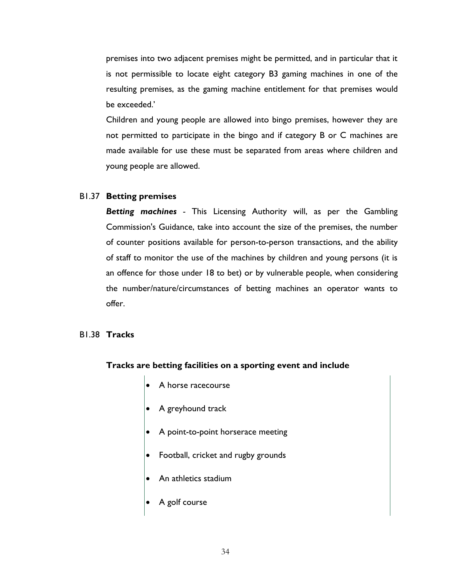premises into two adjacent premises might be permitted, and in particular that it is not permissible to locate eight category B3 gaming machines in one of the resulting premises, as the gaming machine entitlement for that premises would be exceeded.'

Children and young people are allowed into bingo premises, however they are not permitted to participate in the bingo and if category B or C machines are made available for use these must be separated from areas where children and young people are allowed.

#### B1.37 **Betting premises**

*Betting machines -* This Licensing Authority will, as per the Gambling Commission's Guidance, take into account the size of the premises, the number of counter positions available for person-to-person transactions, and the ability of staff to monitor the use of the machines by children and young persons (it is an offence for those under 18 to bet) or by vulnerable people, when considering the number/nature/circumstances of betting machines an operator wants to offer.

#### B1.38 **Tracks**

#### **Tracks are betting facilities on a sporting event and include**

- A horse racecourse
- A greyhound track
- A point-to-point horserace meeting
- Football, cricket and rugby grounds
- An athletics stadium
- A golf course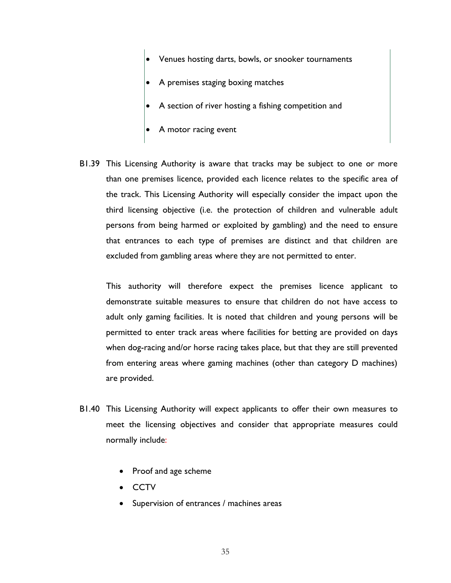- Venues hosting darts, bowls, or snooker tournaments
- A premises staging boxing matches
- A section of river hosting a fishing competition and
- A motor racing event
- B1.39 This Licensing Authority is aware that tracks may be subject to one or more than one premises licence, provided each licence relates to the specific area of the track. This Licensing Authority will especially consider the impact upon the third licensing objective (i.e. the protection of children and vulnerable adult persons from being harmed or exploited by gambling) and the need to ensure that entrances to each type of premises are distinct and that children are excluded from gambling areas where they are not permitted to enter.

This authority will therefore expect the premises licence applicant to demonstrate suitable measures to ensure that children do not have access to adult only gaming facilities. It is noted that children and young persons will be permitted to enter track areas where facilities for betting are provided on days when dog-racing and/or horse racing takes place, but that they are still prevented from entering areas where gaming machines (other than category D machines) are provided.

- B1.40 This Licensing Authority will expect applicants to offer their own measures to meet the licensing objectives and consider that appropriate measures could normally include:
	- Proof and age scheme
	- CCTV
	- Supervision of entrances / machines areas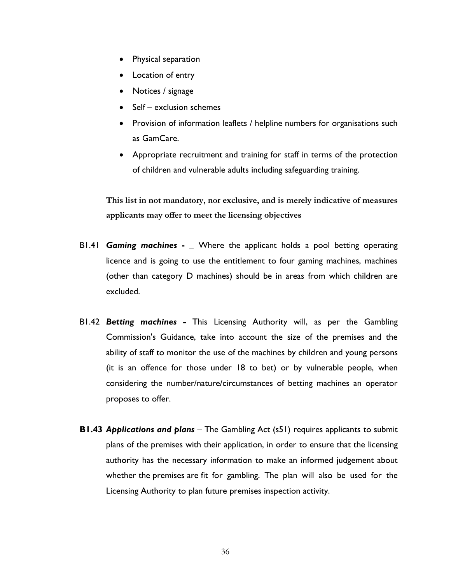- Physical separation
- Location of entry
- Notices / signage
- Self exclusion schemes
- Provision of information leaflets / helpline numbers for organisations such as GamCare.
- Appropriate recruitment and training for staff in terms of the protection of children and vulnerable adults including safeguarding training.

**This list in not mandatory, nor exclusive, and is merely indicative of measures applicants may offer to meet the licensing objectives**

- B1.41 *Gaming machines* **- \_** Where the applicant holds a pool betting operating licence and is going to use the entitlement to four gaming machines, machines (other than category D machines) should be in areas from which children are excluded.
- B1.42 *Betting machines -* This Licensing Authority will, as per the Gambling Commission's Guidance, take into account the size of the premises and the ability of staff to monitor the use of the machines by children and young persons (it is an offence for those under 18 to bet) or by vulnerable people, when considering the number/nature/circumstances of betting machines an operator proposes to offer.
- **B1.43** *Applications and plans* The Gambling Act (s51) requires applicants to submit plans of the premises with their application, in order to ensure that the licensing authority has the necessary information to make an informed judgement about whether the premises are fit for gambling. The plan will also be used for the Licensing Authority to plan future premises inspection activity.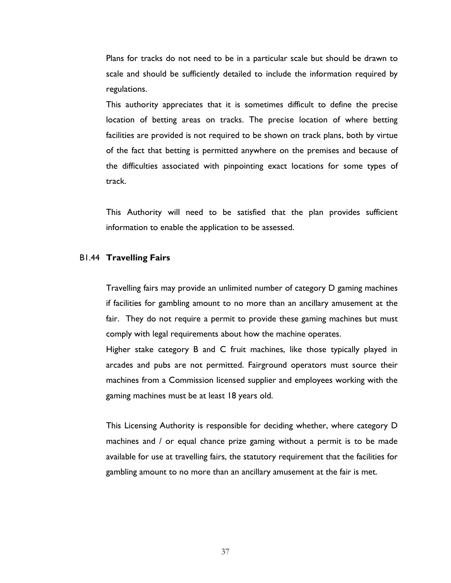Plans for tracks do not need to be in a particular scale but should be drawn to scale and should be sufficiently detailed to include the information required by regulations.

This authority appreciates that it is sometimes difficult to define the precise location of betting areas on tracks. The precise location of where betting facilities are provided is not required to be shown on track plans, both by virtue of the fact that betting is permitted anywhere on the premises and because of the difficulties associated with pinpointing exact locations for some types of track.

This Authority will need to be satisfied that the plan provides sufficient information to enable the application to be assessed.

#### B1.44 **Travelling Fairs**

Travelling fairs may provide an unlimited number of category D gaming machines if facilities for gambling amount to no more than an ancillary amusement at the fair. They do not require a permit to provide these gaming machines but must comply with legal requirements about how the machine operates.

Higher stake category B and C fruit machines, like those typically played in arcades and pubs are not permitted. Fairground operators must source their machines from a Commission licensed supplier and employees working with the gaming machines must be at least 18 years old.

This Licensing Authority is responsible for deciding whether, where category D machines and / or equal chance prize gaming without a permit is to be made available for use at travelling fairs, the statutory requirement that the facilities for gambling amount to no more than an ancillary amusement at the fair is met.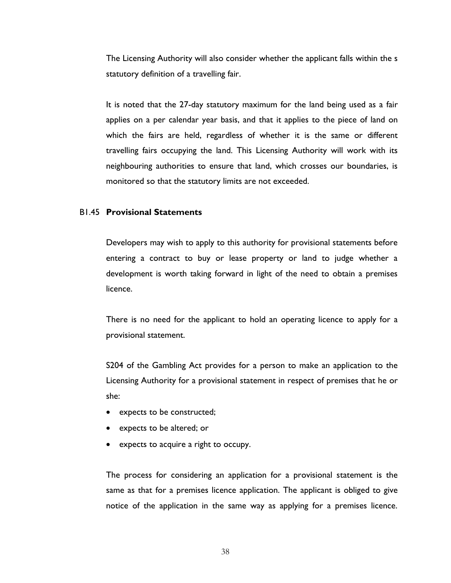The Licensing Authority will also consider whether the applicant falls within the s statutory definition of a travelling fair.

It is noted that the 27-day statutory maximum for the land being used as a fair applies on a per calendar year basis, and that it applies to the piece of land on which the fairs are held, regardless of whether it is the same or different travelling fairs occupying the land. This Licensing Authority will work with its neighbouring authorities to ensure that land, which crosses our boundaries, is monitored so that the statutory limits are not exceeded.

#### B1.45 **Provisional Statements**

Developers may wish to apply to this authority for provisional statements before entering a contract to buy or lease property or land to judge whether a development is worth taking forward in light of the need to obtain a premises licence.

There is no need for the applicant to hold an operating licence to apply for a provisional statement.

S204 of the Gambling Act provides for a person to make an application to the Licensing Authority for a provisional statement in respect of premises that he or she:

- expects to be constructed;
- expects to be altered; or
- expects to acquire a right to occupy.

The process for considering an application for a provisional statement is the same as that for a premises licence application. The applicant is obliged to give notice of the application in the same way as applying for a premises licence.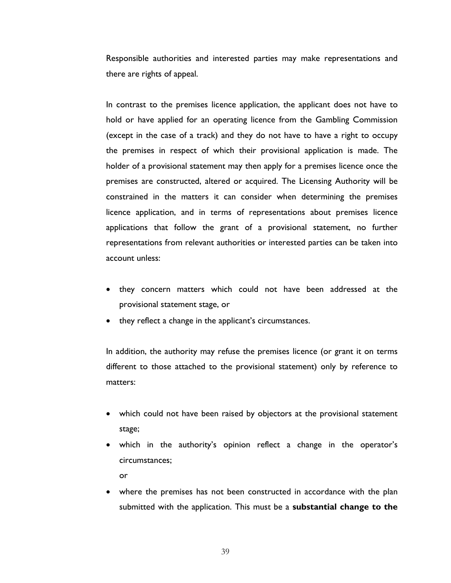Responsible authorities and interested parties may make representations and there are rights of appeal.

In contrast to the premises licence application, the applicant does not have to hold or have applied for an operating licence from the Gambling Commission (except in the case of a track) and they do not have to have a right to occupy the premises in respect of which their provisional application is made. The holder of a provisional statement may then apply for a premises licence once the premises are constructed, altered or acquired. The Licensing Authority will be constrained in the matters it can consider when determining the premises licence application, and in terms of representations about premises licence applications that follow the grant of a provisional statement, no further representations from relevant authorities or interested parties can be taken into account unless:

- they concern matters which could not have been addressed at the provisional statement stage, or
- they reflect a change in the applicant's circumstances.

In addition, the authority may refuse the premises licence (or grant it on terms different to those attached to the provisional statement) only by reference to matters:

- which could not have been raised by objectors at the provisional statement stage;
- which in the authority's opinion reflect a change in the operator's circumstances; or
- where the premises has not been constructed in accordance with the plan submitted with the application. This must be a **substantial change to the**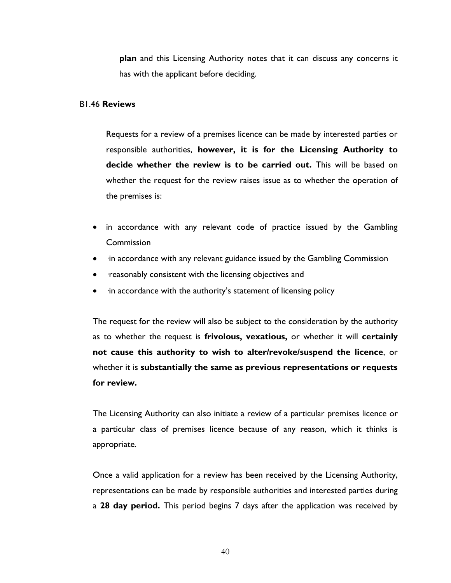**plan** and this Licensing Authority notes that it can discuss any concerns it has with the applicant before deciding.

#### B1.46 **Reviews**

Requests for a review of a premises licence can be made by interested parties or responsible authorities, **however, it is for the Licensing Authority to decide whether the review is to be carried out.** This will be based on whether the request for the review raises issue as to whether the operation of the premises is:

- in accordance with any relevant code of practice issued by the Gambling **Commission**
- in accordance with any relevant guidance issued by the Gambling Commission
- reasonably consistent with the licensing objectives and
- in accordance with the authority's statement of licensing policy

The request for the review will also be subject to the consideration by the authority as to whether the request is **frivolous, vexatious,** or whether it will **certainly not cause this authority to wish to alter/revoke/suspend the licence**, or whether it is **substantially the same as previous representations or requests for review.**

The Licensing Authority can also initiate a review of a particular premises licence or a particular class of premises licence because of any reason, which it thinks is appropriate.

Once a valid application for a review has been received by the Licensing Authority, representations can be made by responsible authorities and interested parties during a **28 day period.** This period begins 7 days after the application was received by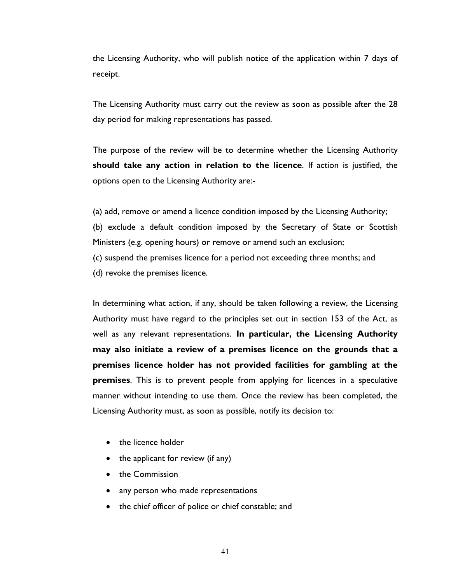the Licensing Authority, who will publish notice of the application within 7 days of receipt.

The Licensing Authority must carry out the review as soon as possible after the 28 day period for making representations has passed.

The purpose of the review will be to determine whether the Licensing Authority **should take any action in relation to the licence**. If action is justified, the options open to the Licensing Authority are:-

(a) add, remove or amend a licence condition imposed by the Licensing Authority; (b) exclude a default condition imposed by the Secretary of State or Scottish Ministers (e.g. opening hours) or remove or amend such an exclusion; (c) suspend the premises licence for a period not exceeding three months; and (d) revoke the premises licence.

In determining what action, if any, should be taken following a review, the Licensing Authority must have regard to the principles set out in section 153 of the Act, as well as any relevant representations. **In particular, the Licensing Authority may also initiate a review of a premises licence on the grounds that a premises licence holder has not provided facilities for gambling at the premises**. This is to prevent people from applying for licences in a speculative manner without intending to use them. Once the review has been completed, the Licensing Authority must, as soon as possible, notify its decision to:

- the licence holder
- the applicant for review (if any)
- the Commission
- any person who made representations
- the chief officer of police or chief constable; and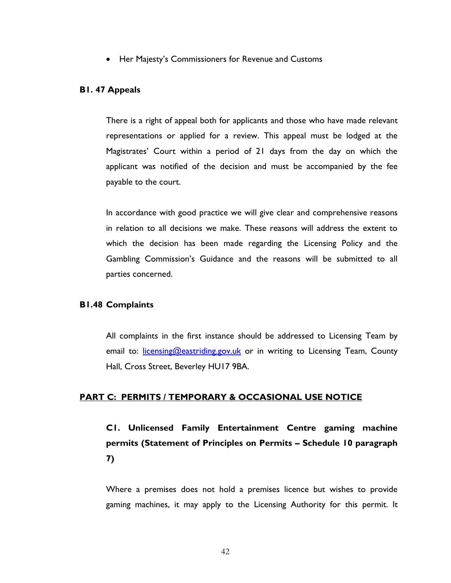• Her Majesty's Commissioners for Revenue and Customs

#### **B1. 47 Appeals**

There is a right of appeal both for applicants and those who have made relevant representations or applied for a review. This appeal must be lodged at the Magistrates' Court within a period of 21 days from the day on which the applicant was notified of the decision and must be accompanied by the fee payable to the court.

In accordance with good practice we will give clear and comprehensive reasons in relation to all decisions we make. These reasons will address the extent to which the decision has been made regarding the Licensing Policy and the Gambling Commission's Guidance and the reasons will be submitted to all parties concerned.

#### **B1.48 Complaints**

All complaints in the first instance should be addressed to Licensing Team by email to: [licensing@eastriding.gov.uk](mailto:licensing@eastriding.gov.uk) or in writing to Licensing Team, County Hall, Cross Street, Beverley HU17 9BA.

#### **PART C: PERMITS / TEMPORARY & OCCASIONAL USE NOTICE**

**C1. Unlicensed Family Entertainment Centre gaming machine permits (Statement of Principles on Permits – Schedule 10 paragraph 7)**

Where a premises does not hold a premises licence but wishes to provide gaming machines, it may apply to the Licensing Authority for this permit. It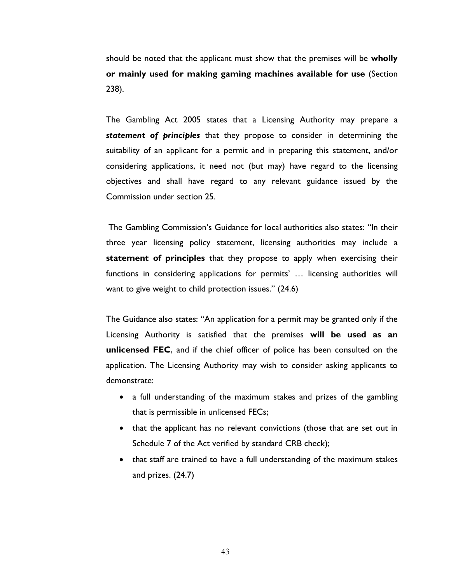should be noted that the applicant must show that the premises will be **wholly or mainly used for making gaming machines available for use** (Section 238).

The Gambling Act 2005 states that a Licensing Authority may prepare a *statement of principles* that they propose to consider in determining the suitability of an applicant for a permit and in preparing this statement, and/or considering applications, it need not (but may) have regard to the licensing objectives and shall have regard to any relevant guidance issued by the Commission under section 25.

The Gambling Commission's Guidance for local authorities also states: "In their three year licensing policy statement, licensing authorities may include a **statement of principles** that they propose to apply when exercising their functions in considering applications for permits' … licensing authorities will want to give weight to child protection issues." (24.6)

The Guidance also states: "An application for a permit may be granted only if the Licensing Authority is satisfied that the premises **will be used as an unlicensed FEC**, and if the chief officer of police has been consulted on the application. The Licensing Authority may wish to consider asking applicants to demonstrate:

- a full understanding of the maximum stakes and prizes of the gambling that is permissible in unlicensed FECs;
- that the applicant has no relevant convictions (those that are set out in Schedule 7 of the Act verified by standard CRB check);
- that staff are trained to have a full understanding of the maximum stakes and prizes. (24.7)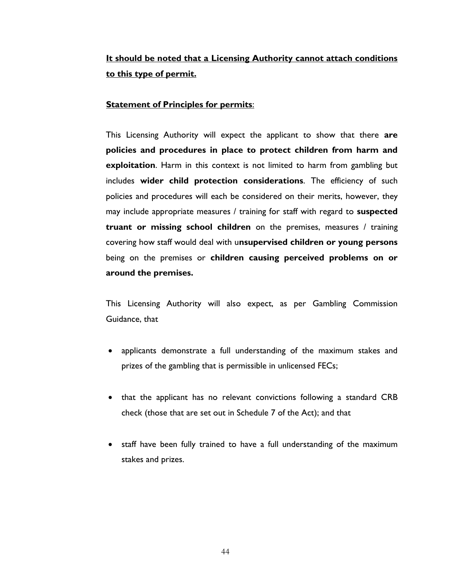## **It should be noted that a Licensing Authority cannot attach conditions to this type of permit.**

#### **Statement of Principles for permits**:

This Licensing Authority will expect the applicant to show that there **are policies and procedures in place to protect children from harm and exploitation**. Harm in this context is not limited to harm from gambling but includes **wider child protection considerations**. The efficiency of such policies and procedures will each be considered on their merits, however, they may include appropriate measures / training for staff with regard to **suspected truant or missing school children** on the premises, measures / training covering how staff would deal with u**nsupervised children or young persons**  being on the premises or **children causing perceived problems on or around the premises.** 

This Licensing Authority will also expect, as per Gambling Commission Guidance, that

- applicants demonstrate a full understanding of the maximum stakes and prizes of the gambling that is permissible in unlicensed FECs;
- that the applicant has no relevant convictions following a standard CRB check (those that are set out in Schedule 7 of the Act); and that
- staff have been fully trained to have a full understanding of the maximum stakes and prizes.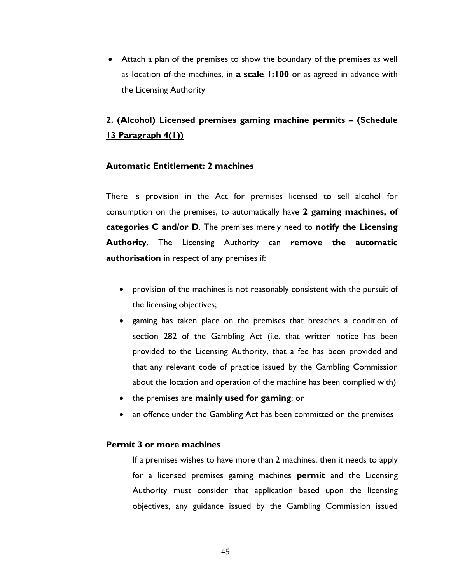• Attach a plan of the premises to show the boundary of the premises as well as location of the machines, in **a scale 1:100** or as agreed in advance with the Licensing Authority

## **2. (Alcohol) Licensed premises gaming machine permits – (Schedule 13 Paragraph 4(1))**

#### **Automatic Entitlement: 2 machines**

There is provision in the Act for premises licensed to sell alcohol for consumption on the premises, to automatically have **2 gaming machines, of categories C and/or D**. The premises merely need to **notify the Licensing Authority**. The Licensing Authority can **remove the automatic authorisation** in respect of any premises if:

- provision of the machines is not reasonably consistent with the pursuit of the licensing objectives;
- gaming has taken place on the premises that breaches a condition of section 282 of the Gambling Act (i.e. that written notice has been provided to the Licensing Authority, that a fee has been provided and that any relevant code of practice issued by the Gambling Commission about the location and operation of the machine has been complied with)
- the premises are **mainly used for gaming**; or
- an offence under the Gambling Act has been committed on the premises

#### **Permit 3 or more machines**

If a premises wishes to have more than 2 machines, then it needs to apply for a licensed premises gaming machines **permit** and the Licensing Authority must consider that application based upon the licensing objectives, any guidance issued by the Gambling Commission issued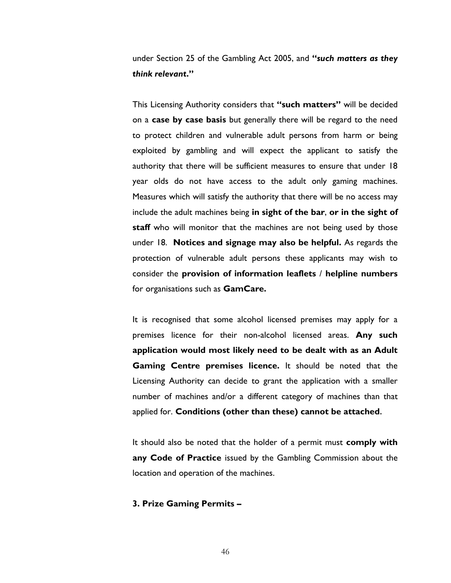under Section 25 of the Gambling Act 2005, and **"***such matters as they think relevant***."**

This Licensing Authority considers that **"such matters"** will be decided on a **case by case basis** but generally there will be regard to the need to protect children and vulnerable adult persons from harm or being exploited by gambling and will expect the applicant to satisfy the authority that there will be sufficient measures to ensure that under 18 year olds do not have access to the adult only gaming machines. Measures which will satisfy the authority that there will be no access may include the adult machines being **in sight of the bar**, **or in the sight of staff** who will monitor that the machines are not being used by those under 18. **Notices and signage may also be helpful.** As regards the protection of vulnerable adult persons these applicants may wish to consider the **provision of information leaflets** / **helpline numbers** for organisations such as **GamCare.**

It is recognised that some alcohol licensed premises may apply for a premises licence for their non-alcohol licensed areas. **Any such application would most likely need to be dealt with as an Adult Gaming Centre premises licence.** It should be noted that the Licensing Authority can decide to grant the application with a smaller number of machines and/or a different category of machines than that applied for. **Conditions (other than these) cannot be attached.**

It should also be noted that the holder of a permit must **comply with any Code of Practice** issued by the Gambling Commission about the location and operation of the machines.

#### **3. Prize Gaming Permits –**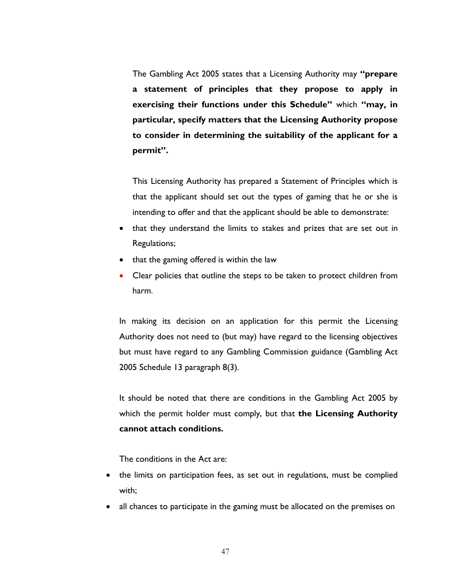The Gambling Act 2005 states that a Licensing Authority may **"prepare a statement of principles that they propose to apply in exercising their functions under this Schedule"** which **"may, in particular, specify matters that the Licensing Authority propose to consider in determining the suitability of the applicant for a permit".**

This Licensing Authority has prepared a Statement of Principles which is that the applicant should set out the types of gaming that he or she is intending to offer and that the applicant should be able to demonstrate:

- that they understand the limits to stakes and prizes that are set out in Regulations;
- that the gaming offered is within the law
- Clear policies that outline the steps to be taken to protect children from harm.

In making its decision on an application for this permit the Licensing Authority does not need to (but may) have regard to the licensing objectives but must have regard to any Gambling Commission guidance (Gambling Act 2005 Schedule 13 paragraph 8(3).

It should be noted that there are conditions in the Gambling Act 2005 by which the permit holder must comply, but that **the Licensing Authority cannot attach conditions.**

The conditions in the Act are:

- the limits on participation fees, as set out in regulations, must be complied with;
- all chances to participate in the gaming must be allocated on the premises on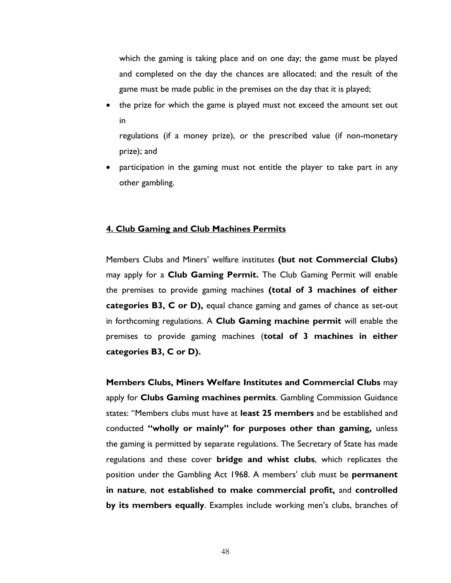which the gaming is taking place and on one day; the game must be played and completed on the day the chances are allocated; and the result of the game must be made public in the premises on the day that it is played;

• the prize for which the game is played must not exceed the amount set out in

regulations (if a money prize), or the prescribed value (if non-monetary prize); and

• participation in the gaming must not entitle the player to take part in any other gambling.

#### **4. Club Gaming and Club Machines Permits**

Members Clubs and Miners' welfare institutes **(but not Commercial Clubs)**  may apply for a **Club Gaming Permit.** The Club Gaming Permit will enable the premises to provide gaming machines **(total of 3 machines of either categories B3, C or D),** equal chance gaming and games of chance as set-out in forthcoming regulations. A **Club Gaming machine permit** will enable the premises to provide gaming machines (**total of 3 machines in either categories B3, C or D).**

**Members Clubs, Miners Welfare Institutes and Commercial Clubs** may apply for **Clubs Gaming machines permits**. Gambling Commission Guidance states: "Members clubs must have at **least 25 members** and be established and conducted **"wholly or mainly" for purposes other than gaming,** unless the gaming is permitted by separate regulations. The Secretary of State has made regulations and these cover **bridge and whist clubs**, which replicates the position under the Gambling Act 1968. A members' club must be **permanent in nature**, **not established to make commercial profit,** and **controlled by its members equally**. Examples include working men's clubs, branches of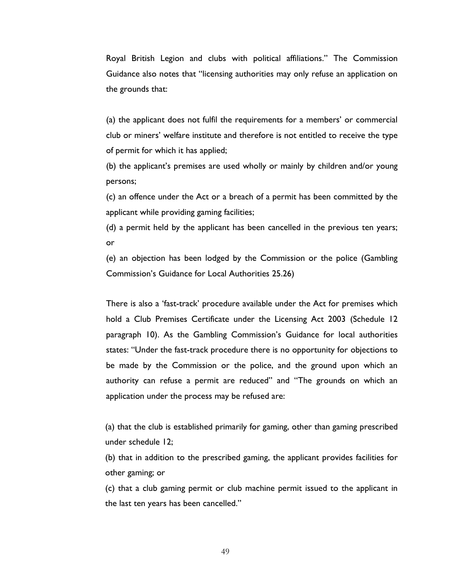Royal British Legion and clubs with political affiliations." The Commission Guidance also notes that "licensing authorities may only refuse an application on the grounds that:

(a) the applicant does not fulfil the requirements for a members' or commercial club or miners' welfare institute and therefore is not entitled to receive the type of permit for which it has applied;

(b) the applicant's premises are used wholly or mainly by children and/or young persons;

(c) an offence under the Act or a breach of a permit has been committed by the applicant while providing gaming facilities;

(d) a permit held by the applicant has been cancelled in the previous ten years; or

(e) an objection has been lodged by the Commission or the police (Gambling Commission's Guidance for Local Authorities 25.26)

There is also a 'fast-track' procedure available under the Act for premises which hold a Club Premises Certificate under the Licensing Act 2003 (Schedule 12 paragraph 10). As the Gambling Commission's Guidance for local authorities states: "Under the fast-track procedure there is no opportunity for objections to be made by the Commission or the police, and the ground upon which an authority can refuse a permit are reduced" and "The grounds on which an application under the process may be refused are:

(a) that the club is established primarily for gaming, other than gaming prescribed under schedule 12;

(b) that in addition to the prescribed gaming, the applicant provides facilities for other gaming; or

(c) that a club gaming permit or club machine permit issued to the applicant in the last ten years has been cancelled."

49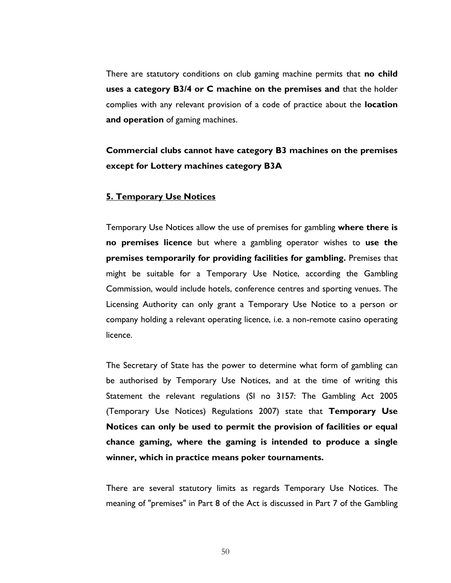There are statutory conditions on club gaming machine permits that **no child uses a category B3/4 or C machine on the premises and** that the holder complies with any relevant provision of a code of practice about the **location and operation** of gaming machines.

## **Commercial clubs cannot have category B3 machines on the premises except for Lottery machines category B3A**

#### **5. Temporary Use Notices**

Temporary Use Notices allow the use of premises for gambling **where there is no premises licence** but where a gambling operator wishes to **use the premises temporarily for providing facilities for gambling.** Premises that might be suitable for a Temporary Use Notice, according the Gambling Commission, would include hotels, conference centres and sporting venues. The Licensing Authority can only grant a Temporary Use Notice to a person or company holding a relevant operating licence, i.e. a non-remote casino operating licence.

The Secretary of State has the power to determine what form of gambling can be authorised by Temporary Use Notices, and at the time of writing this Statement the relevant regulations (SI no 3157: The Gambling Act 2005 (Temporary Use Notices) Regulations 2007) state that **Temporary Use Notices can only be used to permit the provision of facilities or equal chance gaming, where the gaming is intended to produce a single winner, which in practice means poker tournaments.**

There are several statutory limits as regards Temporary Use Notices. The meaning of "premises" in Part 8 of the Act is discussed in Part 7 of the Gambling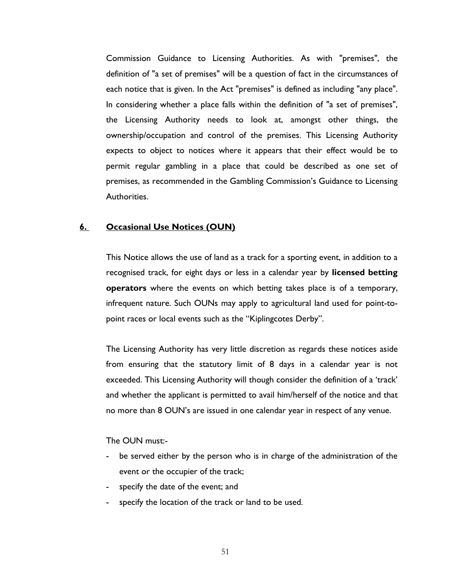Commission Guidance to Licensing Authorities. As with "premises", the definition of "a set of premises" will be a question of fact in the circumstances of each notice that is given. In the Act "premises" is defined as including "any place". In considering whether a place falls within the definition of "a set of premises", the Licensing Authority needs to look at, amongst other things, the ownership/occupation and control of the premises. This Licensing Authority expects to object to notices where it appears that their effect would be to permit regular gambling in a place that could be described as one set of premises, as recommended in the Gambling Commission's Guidance to Licensing Authorities.

#### **6. Occasional Use Notices (OUN)**

This Notice allows the use of land as a track for a sporting event, in addition to a recognised track, for eight days or less in a calendar year by **licensed betting operators** where the events on which betting takes place is of a temporary, infrequent nature. Such OUNs may apply to agricultural land used for point-topoint races or local events such as the "Kiplingcotes Derby".

The Licensing Authority has very little discretion as regards these notices aside from ensuring that the statutory limit of 8 days in a calendar year is not exceeded. This Licensing Authority will though consider the definition of a 'track' and whether the applicant is permitted to avail him/herself of the notice and that no more than 8 OUN's are issued in one calendar year in respect of any venue.

#### The OUN must:-

- be served either by the person who is in charge of the administration of the event or the occupier of the track;
- specify the date of the event; and
- specify the location of the track or land to be used.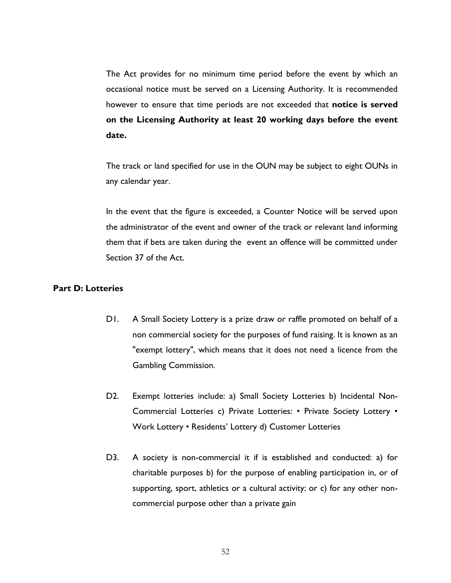The Act provides for no minimum time period before the event by which an occasional notice must be served on a Licensing Authority. It is recommended however to ensure that time periods are not exceeded that **notice is served on the Licensing Authority at least 20 working days before the event date.**

The track or land specified for use in the OUN may be subject to eight OUNs in any calendar year.

In the event that the figure is exceeded, a Counter Notice will be served upon the administrator of the event and owner of the track or relevant land informing them that if bets are taken during the event an offence will be committed under Section 37 of the Act.

#### **Part D: Lotteries**

- D1. A Small Society Lottery is a prize draw or raffle promoted on behalf of a non commercial society for the purposes of fund raising. It is known as an "exempt lottery", which means that it does not need a licence from the Gambling Commission.
- D2. Exempt lotteries include: a) Small Society Lotteries b) Incidental Non-Commercial Lotteries c) Private Lotteries: • Private Society Lottery • Work Lottery • Residents' Lottery d) Customer Lotteries
- D3. A society is non-commercial it if is established and conducted: a) for charitable purposes b) for the purpose of enabling participation in, or of supporting, sport, athletics or a cultural activity: or c) for any other noncommercial purpose other than a private gain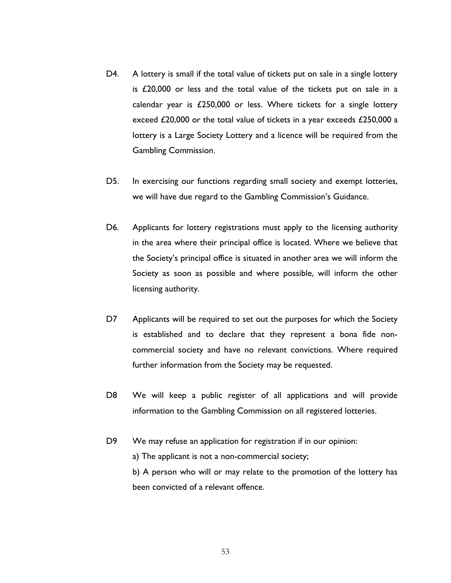- D4. A lottery is small if the total value of tickets put on sale in a single lottery is £20,000 or less and the total value of the tickets put on sale in a calendar year is £250,000 or less. Where tickets for a single lottery exceed £20,000 or the total value of tickets in a year exceeds £250,000 a lottery is a Large Society Lottery and a licence will be required from the Gambling Commission.
- D5. In exercising our functions regarding small society and exempt lotteries, we will have due regard to the Gambling Commission's Guidance.
- D6. Applicants for lottery registrations must apply to the licensing authority in the area where their principal office is located. Where we believe that the Society's principal office is situated in another area we will inform the Society as soon as possible and where possible, will inform the other licensing authority.
- D7 Applicants will be required to set out the purposes for which the Society is established and to declare that they represent a bona fide noncommercial society and have no relevant convictions. Where required further information from the Society may be requested.
- D8 We will keep a public register of all applications and will provide information to the Gambling Commission on all registered lotteries.
- D9 We may refuse an application for registration if in our opinion:

a) The applicant is not a non-commercial society;

b) A person who will or may relate to the promotion of the lottery has been convicted of a relevant offence.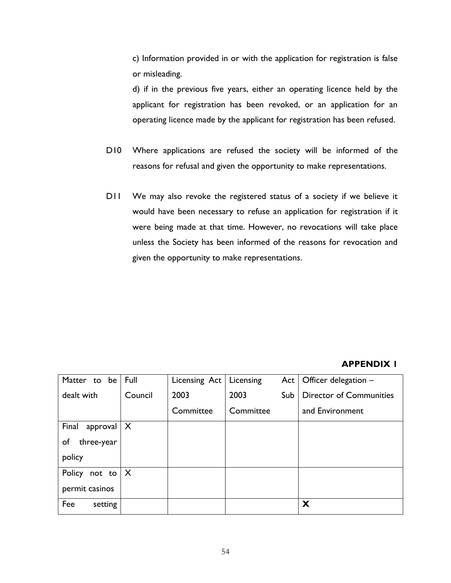c) Information provided in or with the application for registration is false or misleading.

d) if in the previous five years, either an operating licence held by the applicant for registration has been revoked, or an application for an operating licence made by the applicant for registration has been refused.

- D10 Where applications are refused the society will be informed of the reasons for refusal and given the opportunity to make representations.
- D11 We may also revoke the registered status of a society if we believe it would have been necessary to refuse an application for registration if it were being made at that time. However, no revocations will take place unless the Society has been informed of the reasons for revocation and given the opportunity to make representations.

### **APPENDIX 1**

| Matter to be      | Full                      | Licensing Act | Licensing | Act | Officer delegation -           |
|-------------------|---------------------------|---------------|-----------|-----|--------------------------------|
| dealt with        | Council                   | 2003          | 2003      | Sub | <b>Director of Communities</b> |
|                   |                           | Committee     | Committee |     | and Environment                |
| Final<br>approval | X                         |               |           |     |                                |
| of<br>three-year  |                           |               |           |     |                                |
| policy            |                           |               |           |     |                                |
| Policy<br>not to  | $\boldsymbol{\mathsf{X}}$ |               |           |     |                                |
| permit casinos    |                           |               |           |     |                                |
| Fee<br>setting    |                           |               |           |     | X                              |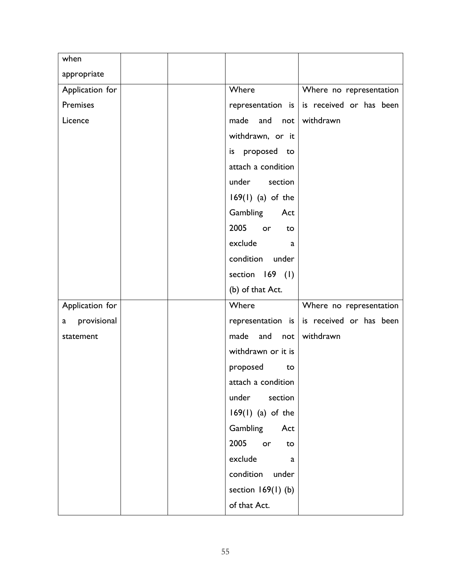| when               |                         |                                               |
|--------------------|-------------------------|-----------------------------------------------|
| appropriate        |                         |                                               |
| Application for    | Where                   | Where no representation                       |
| Premises           |                         | representation is $ $ is received or has been |
| Licence            | made and not            | withdrawn                                     |
|                    | withdrawn, or it        |                                               |
|                    | is proposed to          |                                               |
|                    | attach a condition      |                                               |
|                    | under<br>section        |                                               |
|                    | $169(1)$ (a) of the     |                                               |
|                    | Gambling Act            |                                               |
|                    | 2005<br>or<br>to        |                                               |
|                    | exclude<br>a            |                                               |
|                    | condition under         |                                               |
|                    | section 169 (1)         |                                               |
|                    | (b) of that Act.        |                                               |
| Application for    | Where                   | Where no representation                       |
| provisional<br>a a | representation is       | is received or has been                       |
| statement          | made<br>and<br>not      | withdrawn                                     |
|                    | withdrawn or it is      |                                               |
|                    | proposed<br>to          |                                               |
|                    | attach a condition      |                                               |
|                    | under<br>section        |                                               |
|                    | $169(1)$ (a) of the     |                                               |
|                    | Gambling Act            |                                               |
|                    | 2005<br><b>or</b><br>to |                                               |
|                    | exclude<br>a            |                                               |
|                    |                         |                                               |
|                    | condition under         |                                               |
|                    | section $169(1)$ (b)    |                                               |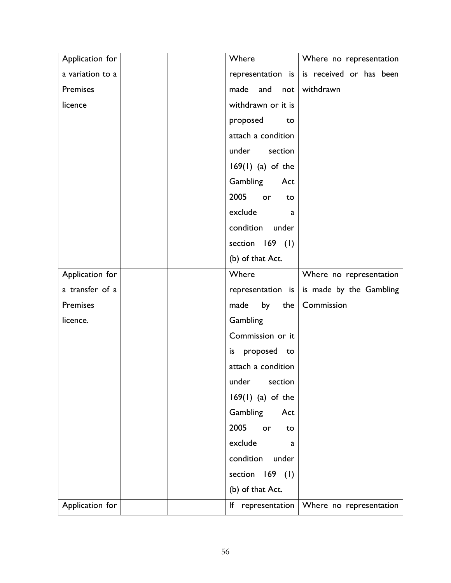| Application for  | Where               | Where no representation                           |
|------------------|---------------------|---------------------------------------------------|
| a variation to a |                     | representation is $\vert$ is received or has been |
| Premises         | and<br>made         | not withdrawn                                     |
| licence          | withdrawn or it is  |                                                   |
|                  | proposed            | to                                                |
|                  | attach a condition  |                                                   |
|                  | under section       |                                                   |
|                  | $169(1)$ (a) of the |                                                   |
|                  | Gambling            | Act                                               |
|                  | 2005<br>or          | to                                                |
|                  | exclude             | a                                                 |
|                  | condition under     |                                                   |
|                  | section 169 (1)     |                                                   |
|                  | (b) of that Act.    |                                                   |
| Application for  | Where               | Where no representation                           |
| a transfer of a  |                     | representation is   is made by the Gambling       |
| Premises         | by<br>made          | Commission<br>the                                 |
| licence.         | Gambling            |                                                   |
|                  | Commission or it    |                                                   |
|                  | is proposed to      |                                                   |
|                  | attach a condition  |                                                   |
|                  | under section       |                                                   |
|                  | $169(1)$ (a) of the |                                                   |
|                  | Gambling            | Act                                               |
|                  | 2005<br>or          | to                                                |
|                  | exclude             | a                                                 |
|                  | condition under     |                                                   |
|                  | section 169 (1)     |                                                   |
|                  | (b) of that Act.    |                                                   |
| Application for  |                     | If representation   Where no representation       |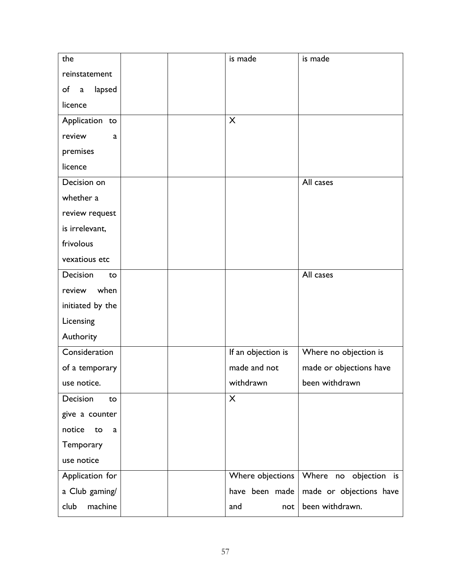| the                         | is made            | is made                 |
|-----------------------------|--------------------|-------------------------|
| reinstatement               |                    |                         |
| of<br>lapsed<br>$\mathsf a$ |                    |                         |
| licence                     |                    |                         |
| Application to              | X                  |                         |
| review<br>a                 |                    |                         |
| premises                    |                    |                         |
| licence                     |                    |                         |
| Decision on                 |                    | All cases               |
| whether a                   |                    |                         |
| review request              |                    |                         |
| is irrelevant,              |                    |                         |
| frivolous                   |                    |                         |
| vexatious etc               |                    |                         |
| Decision<br>to              |                    | All cases               |
| when<br>review              |                    |                         |
| initiated by the            |                    |                         |
| Licensing                   |                    |                         |
| Authority                   |                    |                         |
| Consideration               | If an objection is | Where no objection is   |
| of a temporary              | made and not       | made or objections have |
| use notice.                 | withdrawn          | been withdrawn          |
| Decision<br>to              | X                  |                         |
| give a counter              |                    |                         |
| notice<br>to<br>a           |                    |                         |
| Temporary                   |                    |                         |
| use notice                  |                    |                         |
| Application for             | Where objections   | Where no objection is   |
| a Club gaming/              | have been made     | made or objections have |
| machine<br>club             | and<br>not         | been withdrawn.         |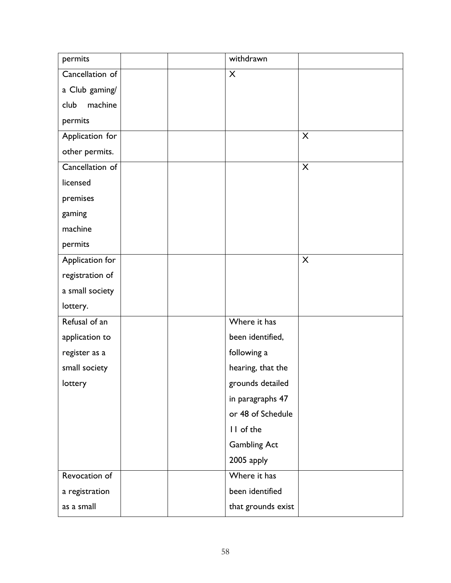| permits         | withdrawn           |
|-----------------|---------------------|
| Cancellation of | $\mathsf{X}$        |
| a Club gaming/  |                     |
| club<br>machine |                     |
| permits         |                     |
| Application for | $\mathsf{X}$        |
| other permits.  |                     |
| Cancellation of | $\mathsf{X}$        |
| licensed        |                     |
| premises        |                     |
| gaming          |                     |
| machine         |                     |
| permits         |                     |
| Application for | $\mathsf{X}$        |
| registration of |                     |
| a small society |                     |
| lottery.        |                     |
| Refusal of an   | Where it has        |
| application to  | been identified,    |
| register as a   | following a         |
| small society   | hearing, that the   |
| lottery         | grounds detailed    |
|                 | in paragraphs 47    |
|                 | or 48 of Schedule   |
|                 | II of the           |
|                 | <b>Gambling Act</b> |
|                 | 2005 apply          |
| Revocation of   | Where it has        |
| a registration  | been identified     |
| as a small      | that grounds exist  |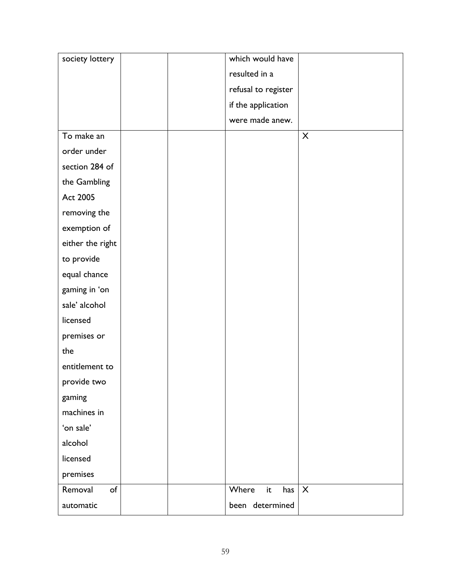| society lottery  | which would have    |                           |
|------------------|---------------------|---------------------------|
|                  | resulted in a       |                           |
|                  | refusal to register |                           |
|                  | if the application  |                           |
|                  | were made anew.     |                           |
| To make an       |                     | X                         |
| order under      |                     |                           |
| section 284 of   |                     |                           |
| the Gambling     |                     |                           |
| Act 2005         |                     |                           |
| removing the     |                     |                           |
| exemption of     |                     |                           |
| either the right |                     |                           |
| to provide       |                     |                           |
| equal chance     |                     |                           |
| gaming in 'on    |                     |                           |
| sale' alcohol    |                     |                           |
| licensed         |                     |                           |
| premises or      |                     |                           |
| the              |                     |                           |
| entitlement to   |                     |                           |
| provide two      |                     |                           |
| gaming           |                     |                           |
| machines in      |                     |                           |
| 'on sale'        |                     |                           |
| alcohol          |                     |                           |
| licensed         |                     |                           |
| premises         |                     |                           |
| Removal<br>of    | Where<br>it<br>has  | $\boldsymbol{\mathsf{X}}$ |
| automatic        | been determined     |                           |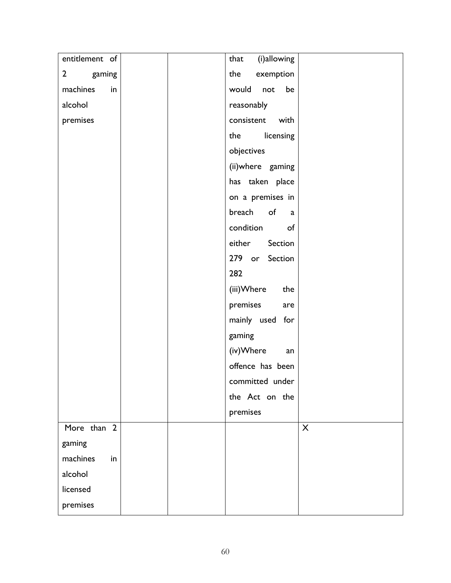| entitlement of | (i)allowing<br>that |
|----------------|---------------------|
| 2 gaming       | the exemption       |
| machines<br>in | would not<br>be     |
| alcohol        | reasonably          |
| premises       | consistent with     |
|                | the licensing       |
|                | objectives          |
|                | (ii)where gaming    |
|                | has taken place     |
|                | on a premises in    |
|                | breach of a         |
|                | condition of        |
|                | Section<br>either   |
|                | 279 or Section      |
|                | 282                 |
|                | (iii)Where<br>the   |
|                | premises<br>are     |
|                | mainly used for     |
|                | gaming              |
|                | (iv)Where<br>an     |
|                | offence has been    |
|                | committed under     |
|                | the Act on the      |
|                | premises            |
| More than 2    | X                   |
| gaming         |                     |
| machines<br>in |                     |
| alcohol        |                     |
| licensed       |                     |
| premises       |                     |